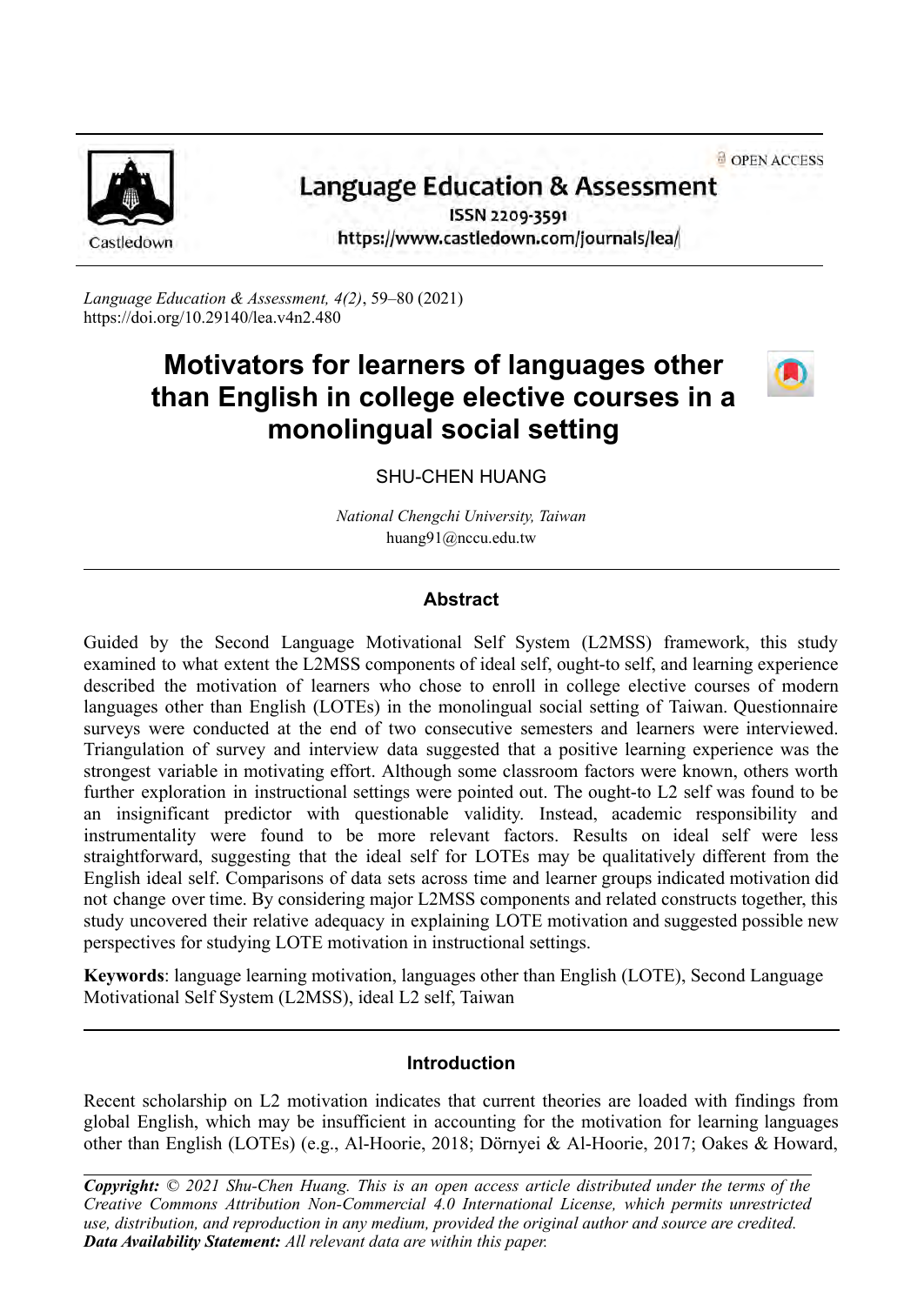**a** OPEN ACCESS



# Language Education & Assessment

ISSN 2209-3591 https://www.castledown.com/journals/lea/

*Language Education & Assessment, 4(2)*, 59–80 (2021) <https://doi.org/10.29140/lea.v4n2.480>

## **Motivators for learners of languages other than English in college elective courses in a monolingual social setting**



## SHU-CHEN HUANG

*National Chengchi University, Taiwan* huang91@nccu.edu.tw

#### **Abstract**

Guided by the Second Language Motivational Self System (L2MSS) framework, this study examined to what extent the L2MSS components of ideal self, ought-to self, and learning experience described the motivation of learners who chose to enroll in college elective courses of modern languages other than English (LOTEs) in the monolingual social setting of Taiwan. Questionnaire surveys were conducted at the end of two consecutive semesters and learners were interviewed. Triangulation of survey and interview data suggested that a positive learning experience was the strongest variable in motivating effort. Although some classroom factors were known, others worth further exploration in instructional settings were pointed out. The ought-to L2 self was found to be an insignificant predictor with questionable validity. Instead, academic responsibility and instrumentality were found to be more relevant factors. Results on ideal self were less straightforward, suggesting that the ideal self for LOTEs may be qualitatively different from the English ideal self. Comparisons of data sets across time and learner groups indicated motivation did not change over time. By considering major L2MSS components and related constructs together, this study uncovered their relative adequacy in explaining LOTE motivation and suggested possible new perspectives for studying LOTE motivation in instructional settings.

**Keywords**: language learning motivation, languages other than English (LOTE), Second Language Motivational Self System (L2MSS), ideal L2 self, Taiwan

## **Introduction**

Recent scholarship on L2 motivation indicates that current theories are loaded with findings from global English, which may be insufficient in accounting for the motivation for learning languages other than English (LOTEs) (e.g., Al-Hoorie, 2018; Dörnyei & Al-Hoorie, 2017; Oakes & Howard,

*Copyright: © 2021 Shu-Chen Huang. This is an open access article distributed under the terms of the [Creative Commons Attribution Non-Commercial 4.0 International License](http://creativecommons.org/licenses/by-nc-nd/4.0), which permits unrestricted use, distribution, and reproduction in any medium, provided the original author and source are credited. Data Availability Statement: All relevant data are within this paper.*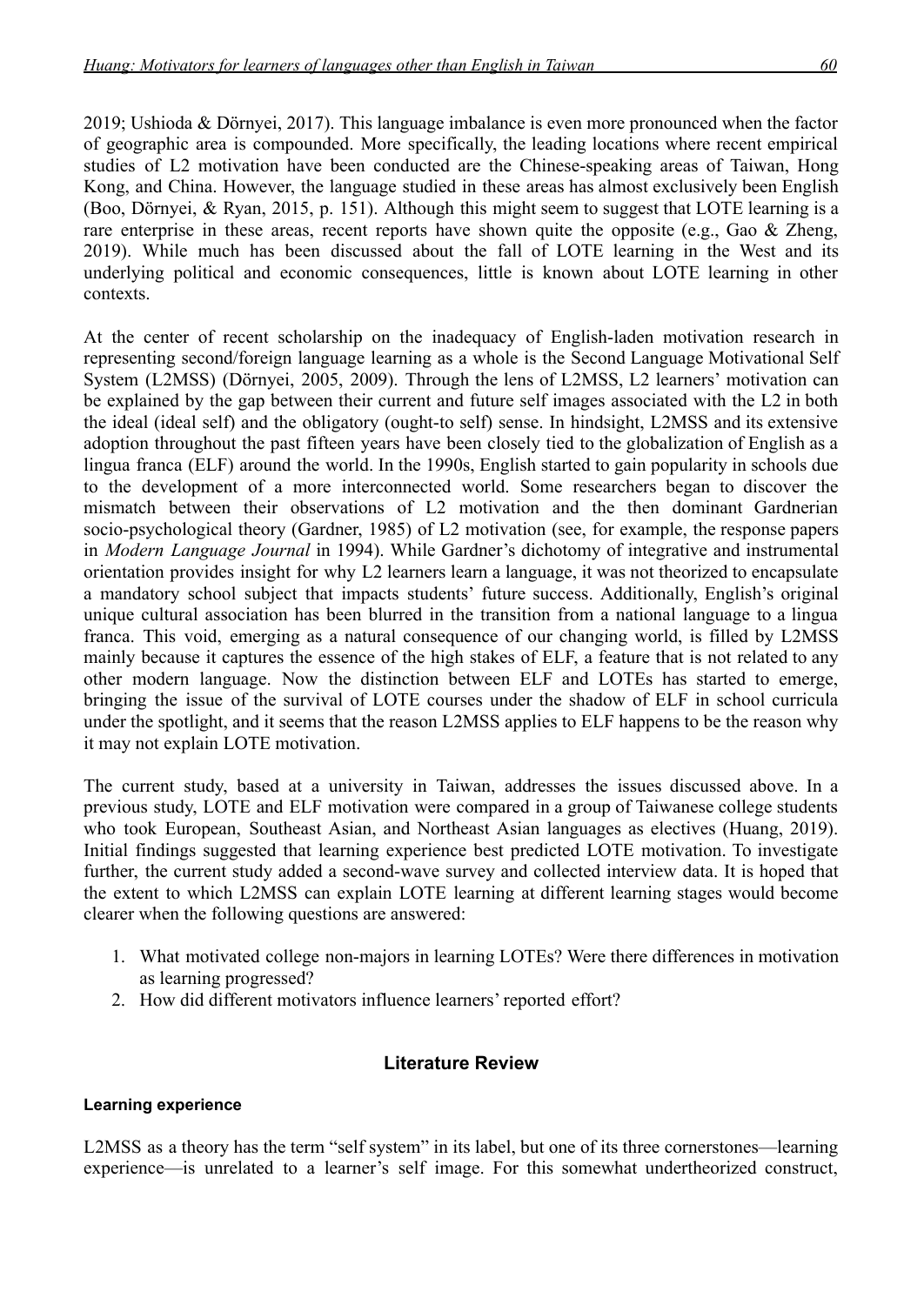2019; Ushioda & Dörnyei, 2017). This language imbalance is even more pronounced when the factor of geographic area is compounded. More specifically, the leading locations where recent empirical studies of L2 motivation have been conducted are the Chinese-speaking areas of Taiwan, Hong Kong, and China. However, the language studied in these areas has almost exclusively been English (Boo, Dörnyei, & Ryan, 2015, p. 151). Although this might seem to suggest that LOTE learning is a rare enterprise in these areas, recent reports have shown quite the opposite (e.g., Gao & Zheng, 2019). While much has been discussed about the fall of LOTE learning in the West and its underlying political and economic consequences, little is known about LOTE learning in other contexts.

At the center of recent scholarship on the inadequacy of English-laden motivation research in representing second/foreign language learning as a whole is the Second Language Motivational Self System (L2MSS) (Dörnyei, 2005, 2009). Through the lens of L2MSS, L2 learners' motivation can be explained by the gap between their current and future self images associated with the L2 in both the ideal (ideal self) and the obligatory (ought-to self) sense. In hindsight, L2MSS and its extensive adoption throughout the past fifteen years have been closely tied to the globalization of English as a lingua franca (ELF) around the world. In the 1990s, English started to gain popularity in schools due to the development of a more interconnected world. Some researchers began to discover the mismatch between their observations of L2 motivation and the then dominant Gardnerian socio-psychological theory (Gardner, 1985) of L2 motivation (see, for example, the response papers in *Modern Language Journal* in 1994). While Gardner's dichotomy of integrative and instrumental orientation provides insight for why L2 learners learn a language, it was not theorized to encapsulate a mandatory school subject that impacts students' future success. Additionally, English's original unique cultural association has been blurred in the transition from a national language to a lingua franca. This void, emerging as a natural consequence of our changing world, is filled by L2MSS mainly because it captures the essence of the high stakes of ELF, a feature that is not related to any other modern language. Now the distinction between ELF and LOTEs has started to emerge, bringing the issue of the survival of LOTE courses under the shadow of ELF in school curricula under the spotlight, and it seems that the reason L2MSS applies to ELF happens to be the reason why it may not explain LOTE motivation.

The current study, based at a university in Taiwan, addresses the issues discussed above. In a previous study, LOTE and ELF motivation were compared in a group of Taiwanese college students who took European, Southeast Asian, and Northeast Asian languages as electives (Huang, 2019). Initial findings suggested that learning experience best predicted LOTE motivation. To investigate further, the current study added a second-wave survey and collected interview data. It is hoped that the extent to which L2MSS can explain LOTE learning at different learning stages would become clearer when the following questions are answered:

- 1. What motivated college non-majors in learning LOTEs? Were there differences in motivation as learning progressed?
- 2. How did different motivators influence learners' reported effort?

## **Literature Review**

#### **Learning experience**

L2MSS as a theory has the term "self system" in its label, but one of its three cornerstones—learning experience—is unrelated to a learner's self image. For this somewhat undertheorized construct,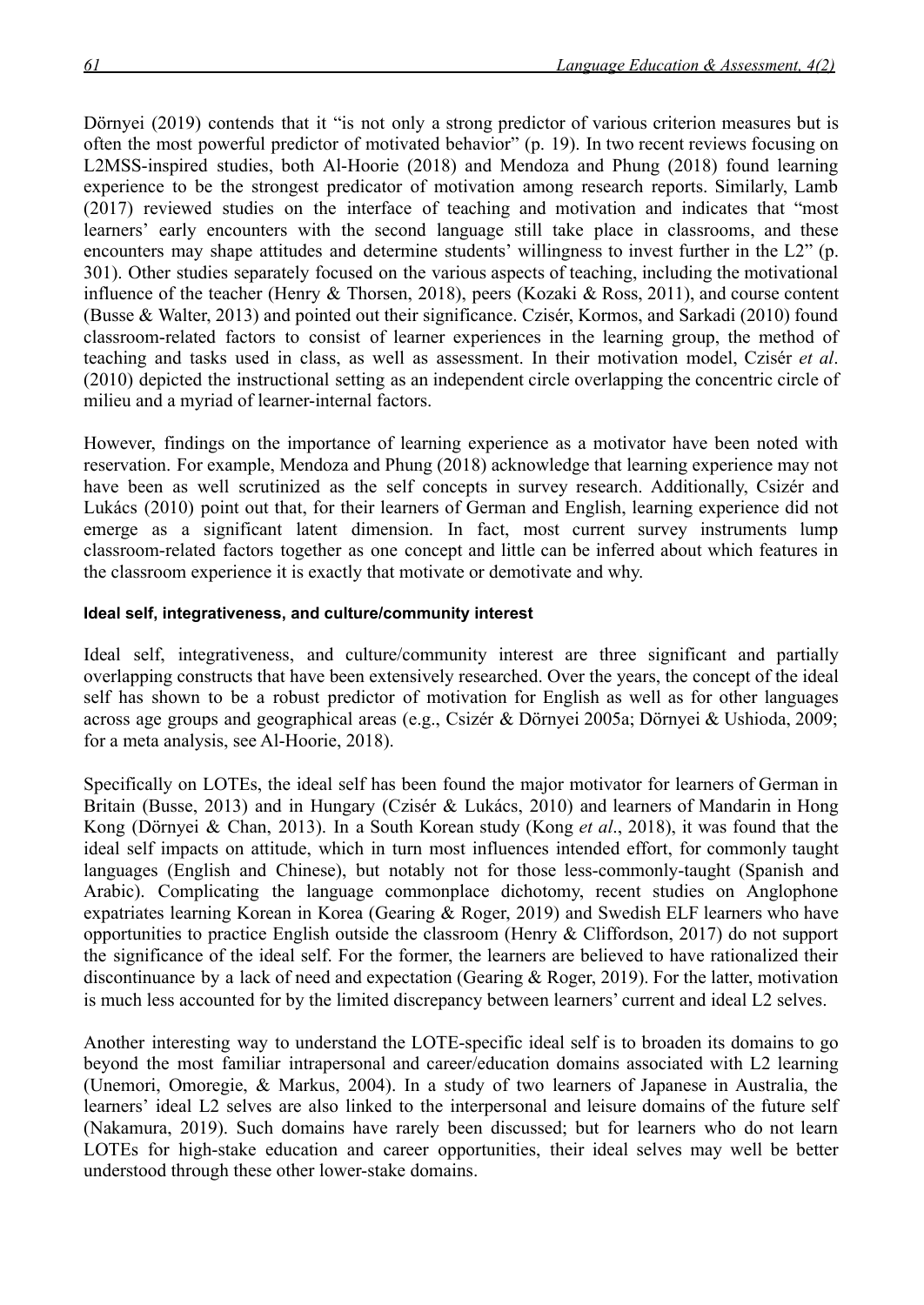Dörnyei (2019) contends that it "is not only a strong predictor of various criterion measures but is often the most powerful predictor of motivated behavior" (p. 19). In two recent reviews focusing on L2MSS-inspired studies, both Al-Hoorie (2018) and Mendoza and Phung (2018) found learning experience to be the strongest predicator of motivation among research reports. Similarly, Lamb (2017) reviewed studies on the interface of teaching and motivation and indicates that "most learners' early encounters with the second language still take place in classrooms, and these encounters may shape attitudes and determine students' willingness to invest further in the L2" (p. 301). Other studies separately focused on the various aspects of teaching, including the motivational influence of the teacher (Henry & Thorsen, 2018), peers (Kozaki & Ross, 2011), and course content (Busse & Walter, 2013) and pointed out their significance. Czisér, Kormos, and Sarkadi (2010) found classroom-related factors to consist of learner experiences in the learning group, the method of teaching and tasks used in class, as well as assessment. In their motivation model, Czisér *et al*. (2010) depicted the instructional setting as an independent circle overlapping the concentric circle of milieu and a myriad of learner-internal factors.

However, findings on the importance of learning experience as a motivator have been noted with reservation. For example, Mendoza and Phung (2018) acknowledge that learning experience may not have been as well scrutinized as the self concepts in survey research. Additionally, Csizér and Lukács (2010) point out that, for their learners of German and English, learning experience did not emerge as a significant latent dimension. In fact, most current survey instruments lump classroom-related factors together as one concept and little can be inferred about which features in the classroom experience it is exactly that motivate or demotivate and why.

#### **Ideal self, integrativeness, and culture/community interest**

Ideal self, integrativeness, and culture/community interest are three significant and partially overlapping constructs that have been extensively researched. Over the years, the concept of the ideal self has shown to be a robust predictor of motivation for English as well as for other languages across age groups and geographical areas (e.g., Csizér & Dörnyei 2005a; Dörnyei & Ushioda, 2009; for a meta analysis, see Al-Hoorie, 2018).

Specifically on LOTEs, the ideal self has been found the major motivator for learners of German in Britain (Busse, 2013) and in Hungary (Czisér & Lukács, 2010) and learners of Mandarin in Hong Kong (Dörnyei & Chan, 2013). In a South Korean study (Kong *et al*., 2018), it was found that the ideal self impacts on attitude, which in turn most influences intended effort, for commonly taught languages (English and Chinese), but notably not for those less-commonly-taught (Spanish and Arabic). Complicating the language commonplace dichotomy, recent studies on Anglophone expatriates learning Korean in Korea (Gearing & Roger, 2019) and Swedish ELF learners who have opportunities to practice English outside the classroom (Henry & Cliffordson, 2017) do not support the significance of the ideal self. For the former, the learners are believed to have rationalized their discontinuance by a lack of need and expectation (Gearing & Roger, 2019). For the latter, motivation is much less accounted for by the limited discrepancy between learners' current and ideal L2 selves.

Another interesting way to understand the LOTE-specific ideal self is to broaden its domains to go beyond the most familiar intrapersonal and career/education domains associated with L2 learning (Unemori, Omoregie, & Markus, 2004). In a study of two learners of Japanese in Australia, the learners' ideal L2 selves are also linked to the interpersonal and leisure domains of the future self (Nakamura, 2019). Such domains have rarely been discussed; but for learners who do not learn LOTEs for high-stake education and career opportunities, their ideal selves may well be better understood through these other lower-stake domains.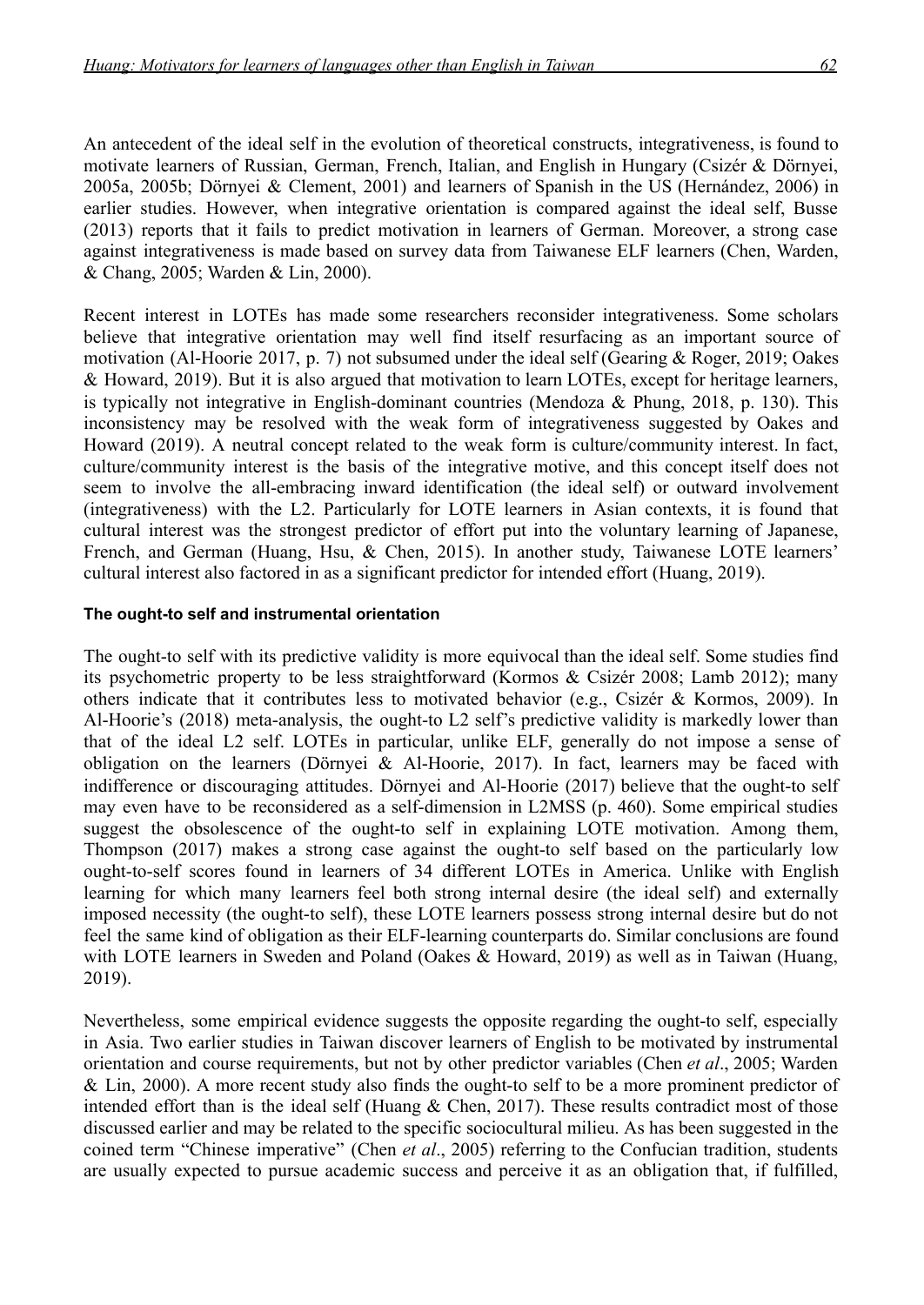An antecedent of the ideal self in the evolution of theoretical constructs, integrativeness, is found to motivate learners of Russian, German, French, Italian, and English in Hungary (Csizér & Dörnyei, 2005a, 2005b; Dörnyei & Clement, 2001) and learners of Spanish in the US (Hernández, 2006) in earlier studies. However, when integrative orientation is compared against the ideal self, Busse (2013) reports that it fails to predict motivation in learners of German. Moreover, a strong case against integrativeness is made based on survey data from Taiwanese ELF learners (Chen, Warden, & Chang, 2005; Warden & Lin, 2000).

Recent interest in LOTEs has made some researchers reconsider integrativeness. Some scholars believe that integrative orientation may well find itself resurfacing as an important source of motivation (Al-Hoorie 2017, p. 7) not subsumed under the ideal self (Gearing & Roger, 2019; Oakes & Howard, 2019). But it is also argued that motivation to learn LOTEs, except for heritage learners, is typically not integrative in English-dominant countries (Mendoza & Phung, 2018, p. 130). This inconsistency may be resolved with the weak form of integrativeness suggested by Oakes and Howard (2019). A neutral concept related to the weak form is culture/community interest. In fact, culture/community interest is the basis of the integrative motive, and this concept itself does not seem to involve the all-embracing inward identification (the ideal self) or outward involvement (integrativeness) with the L2. Particularly for LOTE learners in Asian contexts, it is found that cultural interest was the strongest predictor of effort put into the voluntary learning of Japanese, French, and German (Huang, Hsu, & Chen, 2015). In another study, Taiwanese LOTE learners' cultural interest also factored in as a significant predictor for intended effort (Huang, 2019).

#### **The ought-to self and instrumental orientation**

The ought-to self with its predictive validity is more equivocal than the ideal self. Some studies find its psychometric property to be less straightforward (Kormos & Csizér 2008; Lamb 2012); many others indicate that it contributes less to motivated behavior (e.g., Csizér & Kormos, 2009). In Al-Hoorie's (2018) meta-analysis, the ought-to L2 self's predictive validity is markedly lower than that of the ideal L2 self. LOTEs in particular, unlike ELF, generally do not impose a sense of obligation on the learners (Dörnyei & Al-Hoorie, 2017). In fact, learners may be faced with indifference or discouraging attitudes. Dörnyei and Al-Hoorie (2017) believe that the ought-to self may even have to be reconsidered as a self-dimension in L2MSS (p. 460). Some empirical studies suggest the obsolescence of the ought-to self in explaining LOTE motivation. Among them, Thompson (2017) makes a strong case against the ought-to self based on the particularly low ought-to-self scores found in learners of 34 different LOTEs in America. Unlike with English learning for which many learners feel both strong internal desire (the ideal self) and externally imposed necessity (the ought-to self), these LOTE learners possess strong internal desire but do not feel the same kind of obligation as their ELF-learning counterparts do. Similar conclusions are found with LOTE learners in Sweden and Poland (Oakes & Howard, 2019) as well as in Taiwan (Huang, 2019).

Nevertheless, some empirical evidence suggests the opposite regarding the ought-to self, especially in Asia. Two earlier studies in Taiwan discover learners of English to be motivated by instrumental orientation and course requirements, but not by other predictor variables (Chen *et al*., 2005; Warden & Lin, 2000). A more recent study also finds the ought-to self to be a more prominent predictor of intended effort than is the ideal self (Huang & Chen, 2017). These results contradict most of those discussed earlier and may be related to the specific sociocultural milieu. As has been suggested in the coined term "Chinese imperative" (Chen *et al*., 2005) referring to the Confucian tradition, students are usually expected to pursue academic success and perceive it as an obligation that, if fulfilled,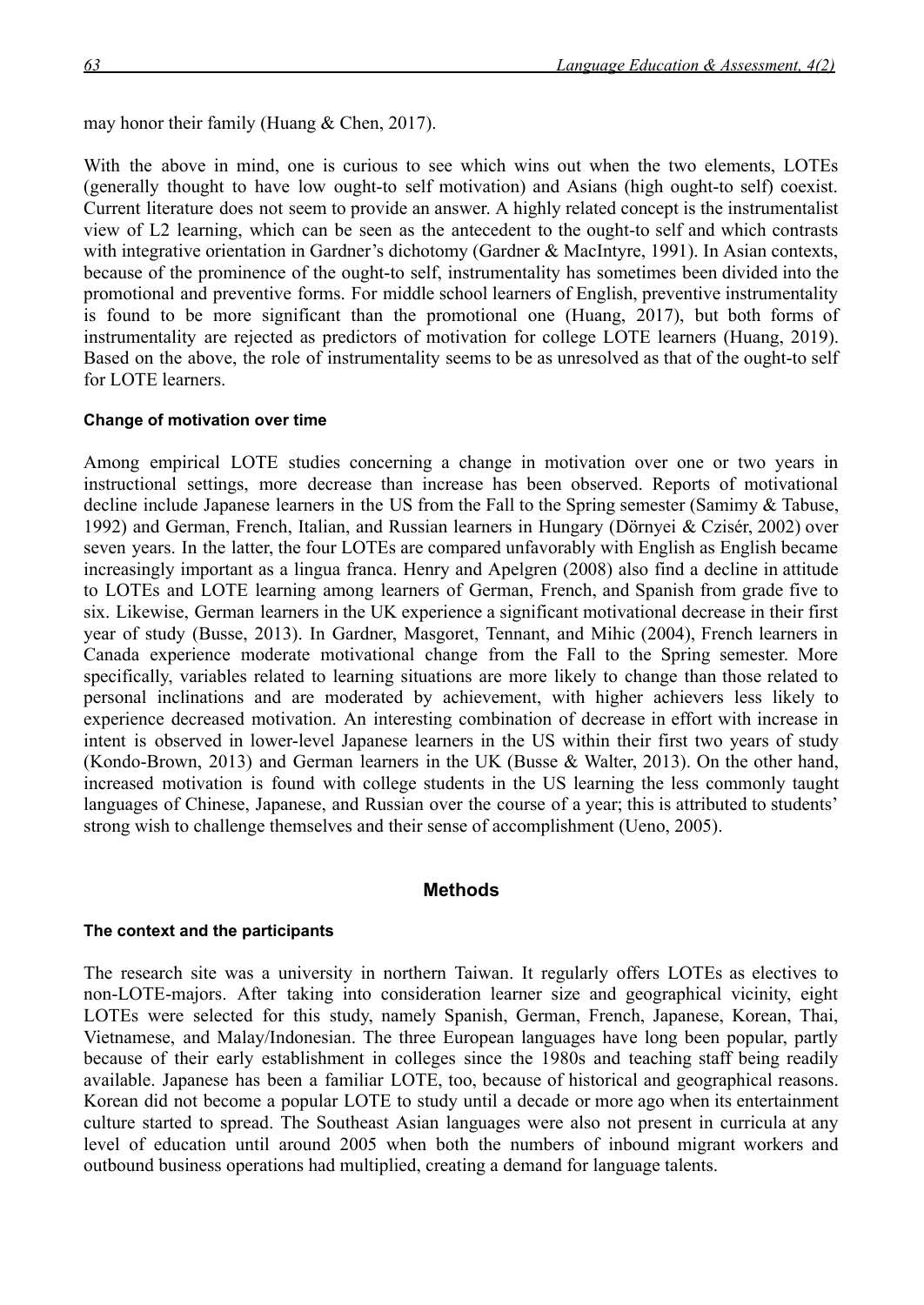may honor their family (Huang & Chen, 2017).

With the above in mind, one is curious to see which wins out when the two elements, LOTEs (generally thought to have low ought-to self motivation) and Asians (high ought-to self) coexist. Current literature does not seem to provide an answer. A highly related concept is the instrumentalist view of L2 learning, which can be seen as the antecedent to the ought-to self and which contrasts with integrative orientation in Gardner's dichotomy (Gardner & MacIntyre, 1991). In Asian contexts, because of the prominence of the ought-to self, instrumentality has sometimes been divided into the promotional and preventive forms. For middle school learners of English, preventive instrumentality is found to be more significant than the promotional one (Huang, 2017), but both forms of instrumentality are rejected as predictors of motivation for college LOTE learners (Huang, 2019). Based on the above, the role of instrumentality seems to be as unresolved as that of the ought-to self for LOTE learners.

#### **Change of motivation over time**

Among empirical LOTE studies concerning a change in motivation over one or two years in instructional settings, more decrease than increase has been observed. Reports of motivational decline include Japanese learners in the US from the Fall to the Spring semester (Samimy & Tabuse, 1992) and German, French, Italian, and Russian learners in Hungary (Dörnyei & Czisér, 2002) over seven years. In the latter, the four LOTEs are compared unfavorably with English as English became increasingly important as a lingua franca. Henry and Apelgren (2008) also find a decline in attitude to LOTEs and LOTE learning among learners of German, French, and Spanish from grade five to six. Likewise, German learners in the UK experience a significant motivational decrease in their first year of study (Busse, 2013). In Gardner, Masgoret, Tennant, and Mihic (2004), French learners in Canada experience moderate motivational change from the Fall to the Spring semester. More specifically, variables related to learning situations are more likely to change than those related to personal inclinations and are moderated by achievement, with higher achievers less likely to experience decreased motivation. An interesting combination of decrease in effort with increase in intent is observed in lower-level Japanese learners in the US within their first two years of study (Kondo-Brown, 2013) and German learners in the UK (Busse & Walter, 2013). On the other hand, increased motivation is found with college students in the US learning the less commonly taught languages of Chinese, Japanese, and Russian over the course of a year; this is attributed to students' strong wish to challenge themselves and their sense of accomplishment (Ueno, 2005).

#### **Methods**

#### **The context and the participants**

The research site was a university in northern Taiwan. It regularly offers LOTEs as electives to non-LOTE-majors. After taking into consideration learner size and geographical vicinity, eight LOTEs were selected for this study, namely Spanish, German, French, Japanese, Korean, Thai, Vietnamese, and Malay/Indonesian. The three European languages have long been popular, partly because of their early establishment in colleges since the 1980s and teaching staff being readily available. Japanese has been a familiar LOTE, too, because of historical and geographical reasons. Korean did not become a popular LOTE to study until a decade or more ago when its entertainment culture started to spread. The Southeast Asian languages were also not present in curricula at any level of education until around 2005 when both the numbers of inbound migrant workers and outbound business operations had multiplied, creating a demand for language talents.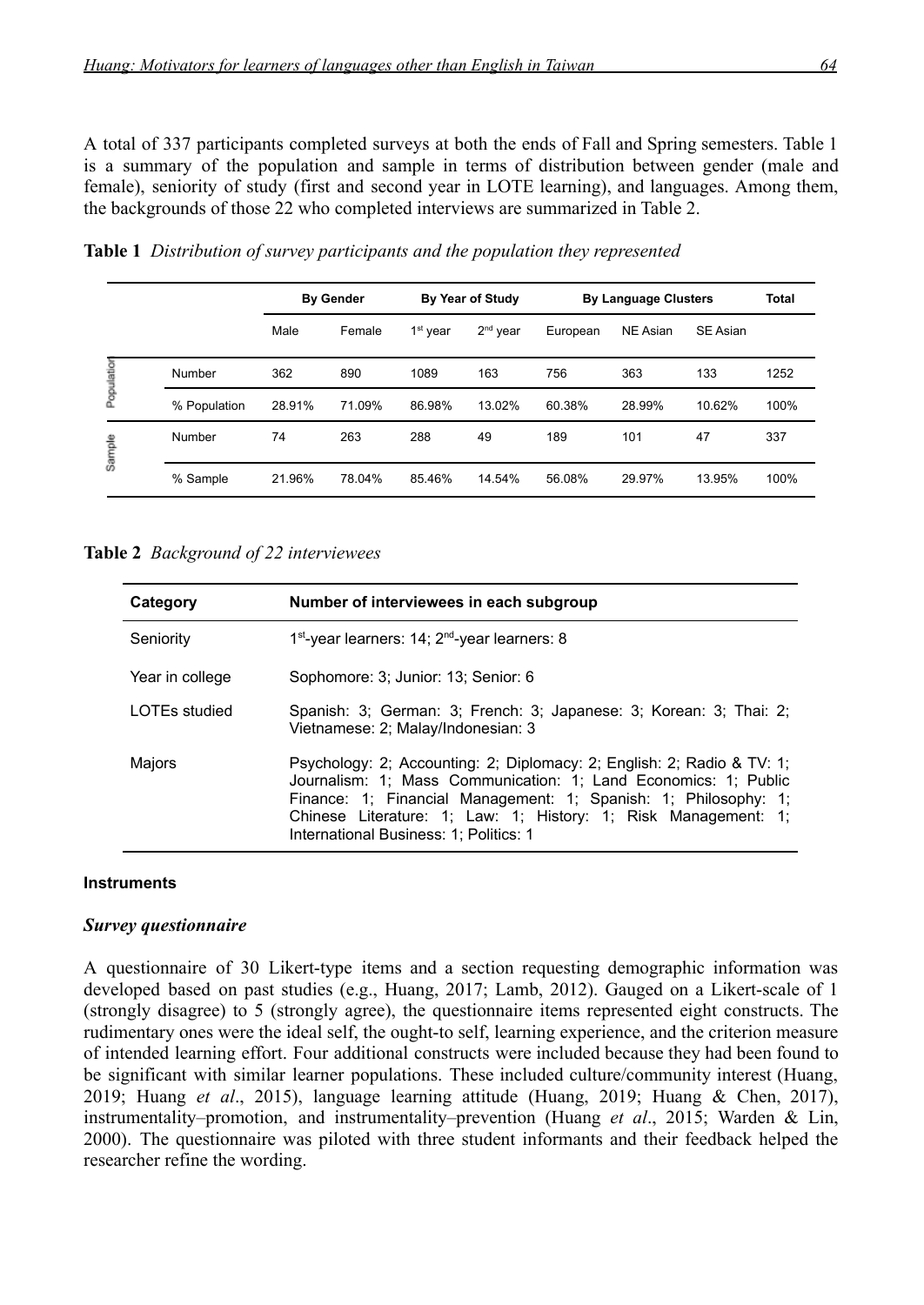A total of 337 participants completed surveys at both the ends of Fall and Spring semesters. Table 1 is a summary of the population and sample in terms of distribution between gender (male and female), seniority of study (first and second year in LOTE learning), and languages. Among them, the backgrounds of those 22 who completed interviews are summarized in Table 2.

|            |              |        | <b>By Gender</b> |                      | <b>By Year of Study</b> | <b>By Language Clusters</b> | <b>Total</b>    |                 |      |
|------------|--------------|--------|------------------|----------------------|-------------------------|-----------------------------|-----------------|-----------------|------|
|            |              | Male   | Female           | 1 <sup>st</sup> year | $2nd$ year              | European                    | <b>NE Asian</b> | <b>SE Asian</b> |      |
| Population | Number       | 362    | 890              | 1089                 | 163                     | 756                         | 363             | 133             | 1252 |
|            | % Population | 28.91% | 71.09%           | 86.98%               | 13.02%                  | 60.38%                      | 28.99%          | 10.62%          | 100% |
| Sample     | Number       | 74     | 263              | 288                  | 49                      | 189                         | 101             | 47              | 337  |
|            | % Sample     | 21.96% | 78.04%           | 85.46%               | 14.54%                  | 56.08%                      | 29.97%          | 13.95%          | 100% |

**Table 1** *Distribution of survey participants and the population they represented*

#### **Table 2** *Background of 22 interviewees*

| Category        | Number of interviewees in each subgroup                                                                                                                                                                                                                                                                                  |
|-----------------|--------------------------------------------------------------------------------------------------------------------------------------------------------------------------------------------------------------------------------------------------------------------------------------------------------------------------|
| Seniority       | 1 <sup>st</sup> -year learners: 14; 2 <sup>nd</sup> -year learners: 8                                                                                                                                                                                                                                                    |
| Year in college | Sophomore: 3; Junior: 13; Senior: 6                                                                                                                                                                                                                                                                                      |
| LOTEs studied   | Spanish: 3; German: 3; French: 3; Japanese: 3; Korean: 3; Thai: 2;<br>Vietnamese: 2; Malay/Indonesian: 3                                                                                                                                                                                                                 |
| Majors          | Psychology: 2; Accounting: 2; Diplomacy: 2; English: 2; Radio & TV: 1;<br>Journalism: 1; Mass Communication: 1; Land Economics: 1; Public<br>Finance: 1; Financial Management: 1; Spanish: 1; Philosophy: 1;<br>Chinese Literature: 1; Law: 1; History: 1; Risk Management: 1;<br>International Business: 1; Politics: 1 |

#### **Instruments**

#### *Survey questionnaire*

A questionnaire of 30 Likert-type items and a section requesting demographic information was developed based on past studies (e.g., Huang, 2017; Lamb, 2012). Gauged on a Likert-scale of 1 (strongly disagree) to 5 (strongly agree), the questionnaire items represented eight constructs. The rudimentary ones were the ideal self, the ought-to self, learning experience, and the criterion measure of intended learning effort. Four additional constructs were included because they had been found to be significant with similar learner populations. These included culture/community interest (Huang, 2019; Huang *et al*., 2015), language learning attitude (Huang, 2019; Huang & Chen, 2017), instrumentality–promotion, and instrumentality–prevention (Huang *et al*., 2015; Warden & Lin, 2000). The questionnaire was piloted with three student informants and their feedback helped the researcher refine the wording.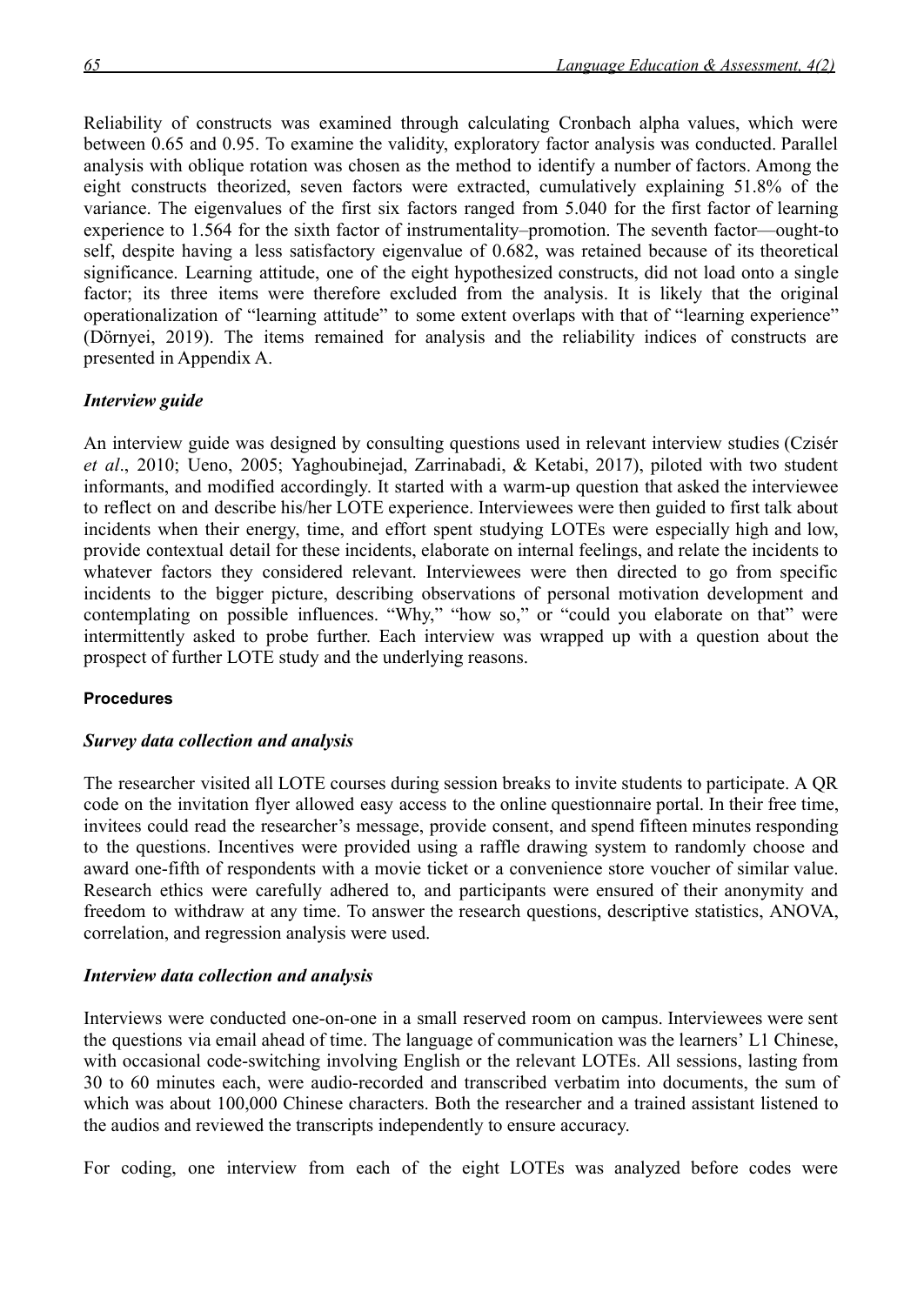Reliability of constructs was examined through calculating Cronbach alpha values, which were between 0.65 and 0.95. To examine the validity, exploratory factor analysis was conducted. Parallel analysis with oblique rotation was chosen as the method to identify a number of factors. Among the eight constructs theorized, seven factors were extracted, cumulatively explaining 51.8% of the variance. The eigenvalues of the first six factors ranged from 5.040 for the first factor of learning experience to 1.564 for the sixth factor of instrumentality–promotion. The seventh factor—ought-to self, despite having a less satisfactory eigenvalue of 0.682, was retained because of its theoretical significance. Learning attitude, one of the eight hypothesized constructs, did not load onto a single factor; its three items were therefore excluded from the analysis. It is likely that the original operationalization of "learning attitude" to some extent overlaps with that of "learning experience" (Dörnyei, 2019). The items remained for analysis and the reliability indices of constructs are presented in Appendix A.

#### *Interview guide*

An interview guide was designed by consulting questions used in relevant interview studies (Czisér *et al*., 2010; Ueno, 2005; Yaghoubinejad, Zarrinabadi, & Ketabi, 2017), piloted with two student informants, and modified accordingly. It started with a warm-up question that asked the interviewee to reflect on and describe his/her LOTE experience. Interviewees were then guided to first talk about incidents when their energy, time, and effort spent studying LOTEs were especially high and low, provide contextual detail for these incidents, elaborate on internal feelings, and relate the incidents to whatever factors they considered relevant. Interviewees were then directed to go from specific incidents to the bigger picture, describing observations of personal motivation development and contemplating on possible influences. "Why," "how so," or "could you elaborate on that" were intermittently asked to probe further. Each interview was wrapped up with a question about the prospect of further LOTE study and the underlying reasons.

## **Procedures**

#### *Survey data collection and analysis*

The researcher visited all LOTE courses during session breaks to invite students to participate. A QR code on the invitation flyer allowed easy access to the online questionnaire portal. In their free time, invitees could read the researcher's message, provide consent, and spend fifteen minutes responding to the questions. Incentives were provided using a raffle drawing system to randomly choose and award one-fifth of respondents with a movie ticket or a convenience store voucher of similar value. Research ethics were carefully adhered to, and participants were ensured of their anonymity and freedom to withdraw at any time. To answer the research questions, descriptive statistics, ANOVA, correlation, and regression analysis were used.

## *Interview data collection and analysis*

Interviews were conducted one-on-one in a small reserved room on campus. Interviewees were sent the questions via email ahead of time. The language of communication was the learners' L1 Chinese, with occasional code-switching involving English or the relevant LOTEs. All sessions, lasting from 30 to 60 minutes each, were audio-recorded and transcribed verbatim into documents, the sum of which was about 100,000 Chinese characters. Both the researcher and a trained assistant listened to the audios and reviewed the transcripts independently to ensure accuracy.

For coding, one interview from each of the eight LOTEs was analyzed before codes were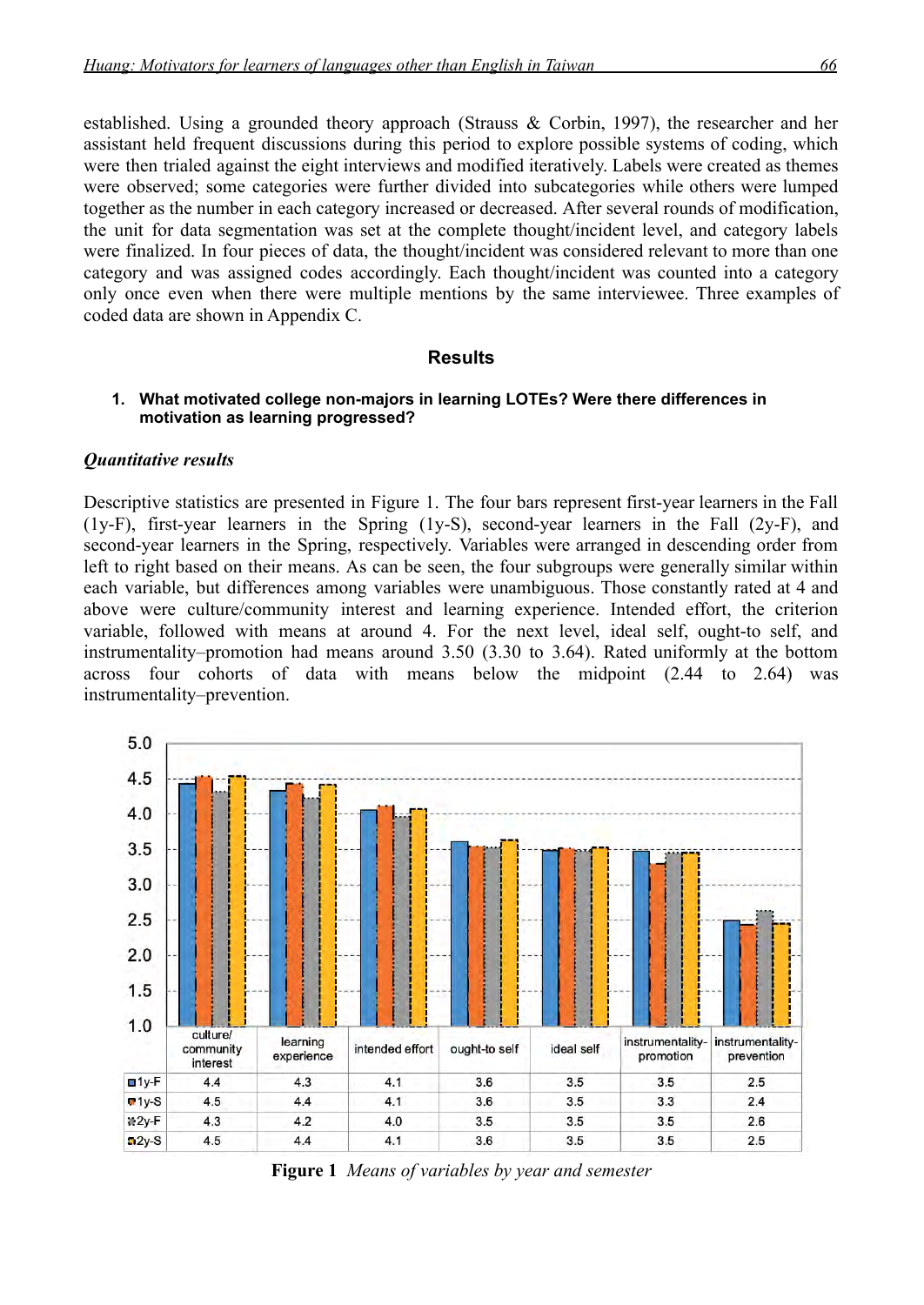established. Using a grounded theory approach (Strauss & Corbin, 1997), the researcher and her assistant held frequent discussions during this period to explore possible systems of coding, which were then trialed against the eight interviews and modified iteratively. Labels were created as themes were observed; some categories were further divided into subcategories while others were lumped together as the number in each category increased or decreased. After several rounds of modification, the unit for data segmentation was set at the complete thought/incident level, and category labels were finalized. In four pieces of data, the thought/incident was considered relevant to more than one category and was assigned codes accordingly. Each thought/incident was counted into a category only once even when there were multiple mentions by the same interviewee. Three examples of coded data are shown in Appendix C.

#### **Results**

#### **1. What motivated college non-majors in learning LOTEs? Were there differences in motivation as learning progressed?**

#### *Quantitative results*

Descriptive statistics are presented in Figure 1. The four bars represent first-year learners in the Fall (1y-F), first-year learners in the Spring (1y-S), second-year learners in the Fall (2y-F), and second-year learners in the Spring, respectively. Variables were arranged in descending order from left to right based on their means. As can be seen, the four subgroups were generally similar within each variable, but differences among variables were unambiguous. Those constantly rated at 4 and above were culture/community interest and learning experience. Intended effort, the criterion variable, followed with means at around 4. For the next level, ideal self, ought-to self, and instrumentality–promotion had means around 3.50 (3.30 to 3.64). Rated uniformly at the bottom across four cohorts of data with means below the midpoint (2.44 to 2.64) was instrumentality–prevention.



**Figure 1** *Means of variables by year and semester*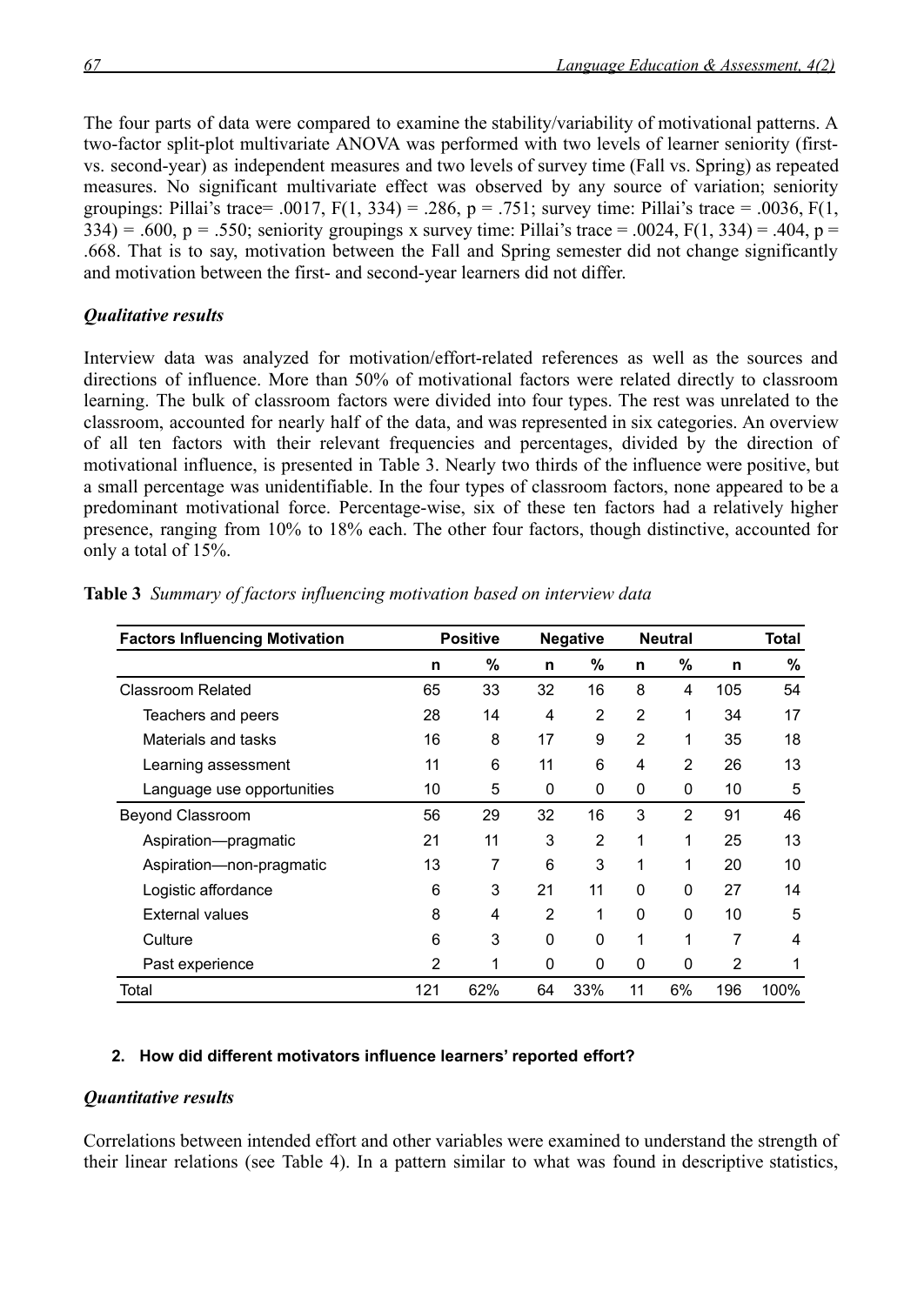The four parts of data were compared to examine the stability/variability of motivational patterns. A two-factor split-plot multivariate ANOVA was performed with two levels of learner seniority (firstvs. second-year) as independent measures and two levels of survey time (Fall vs. Spring) as repeated measures. No significant multivariate effect was observed by any source of variation; seniority groupings: Pillai's trace= .0017,  $F(1, 334) = .286$ ,  $p = .751$ ; survey time: Pillai's trace = .0036,  $F(1, 16)$  $334$ ) = .600, p = .550; seniority groupings x survey time: Pillai's trace = .0024, F(1, 334) = .404, p = .668. That is to say, motivation between the Fall and Spring semester did not change significantly and motivation between the first- and second-year learners did not differ.

## *Qualitative results*

Interview data was analyzed for motivation/effort-related references as well as the sources and directions of influence. More than 50% of motivational factors were related directly to classroom learning. The bulk of classroom factors were divided into four types. The rest was unrelated to the classroom, accounted for nearly half of the data, and was represented in six categories. An overview of all ten factors with their relevant frequencies and percentages, divided by the direction of motivational influence, is presented in Table 3. Nearly two thirds of the influence were positive, but a small percentage was unidentifiable. In the four types of classroom factors, none appeared to be a predominant motivational force. Percentage-wise, six of these ten factors had a relatively higher presence, ranging from 10% to 18% each. The other four factors, though distinctive, accounted for only a total of 15%.

| <b>Factors Influencing Motivation</b> |     | <b>Positive</b><br><b>Negative</b> |                |                | <b>Neutral</b> |                |     | Total |  |  |
|---------------------------------------|-----|------------------------------------|----------------|----------------|----------------|----------------|-----|-------|--|--|
|                                       | n   | %                                  | n              | $\%$           | n              | %              | n   | %     |  |  |
| <b>Classroom Related</b>              | 65  | 33                                 | 32             | 16             | 8              | 4              | 105 | 54    |  |  |
| Teachers and peers                    | 28  | 14                                 | 4              | 2              | $\overline{2}$ | 1              | 34  | 17    |  |  |
| Materials and tasks                   | 16  | 8                                  | 17             | 9              | 2              | 1              | 35  | 18    |  |  |
| Learning assessment                   | 11  | 6                                  | 11             | 6              | 4              | 2              | 26  | 13    |  |  |
| Language use opportunities            | 10  | 5                                  | 0              | 0              | 0              | 0              | 10  | 5     |  |  |
| <b>Beyond Classroom</b>               | 56  | 29                                 | 32             | 16             | 3              | $\overline{2}$ | 91  | 46    |  |  |
| Aspiration-pragmatic                  | 21  | 11                                 | 3              | $\overline{2}$ | 1              | 1              | 25  | 13    |  |  |
| Aspiration-non-pragmatic              | 13  | 7                                  | 6              | 3              | 1              | 1              | 20  | 10    |  |  |
| Logistic affordance                   | 6   | 3                                  | 21             | 11             | $\Omega$       | $\Omega$       | 27  | 14    |  |  |
| <b>External values</b>                | 8   | 4                                  | $\overline{2}$ | 1              | 0              | 0              | 10  | 5     |  |  |
| Culture                               | 6   | 3                                  | 0              | 0              | 1              | 1              | 7   | 4     |  |  |
| Past experience                       | 2   | 1                                  | 0              | 0              | 0              | 0              | 2   | 1     |  |  |
| Total                                 | 121 | 62%                                | 64             | 33%            | 11             | 6%             | 196 | 100%  |  |  |

**Table 3** *Summary of factors influencing motivation based on interview data*

## **2. How did different motivators influence learners' reported effort?**

## *Quantitative results*

Correlations between intended effort and other variables were examined to understand the strength of their linear relations (see Table 4). In a pattern similar to what was found in descriptive statistics,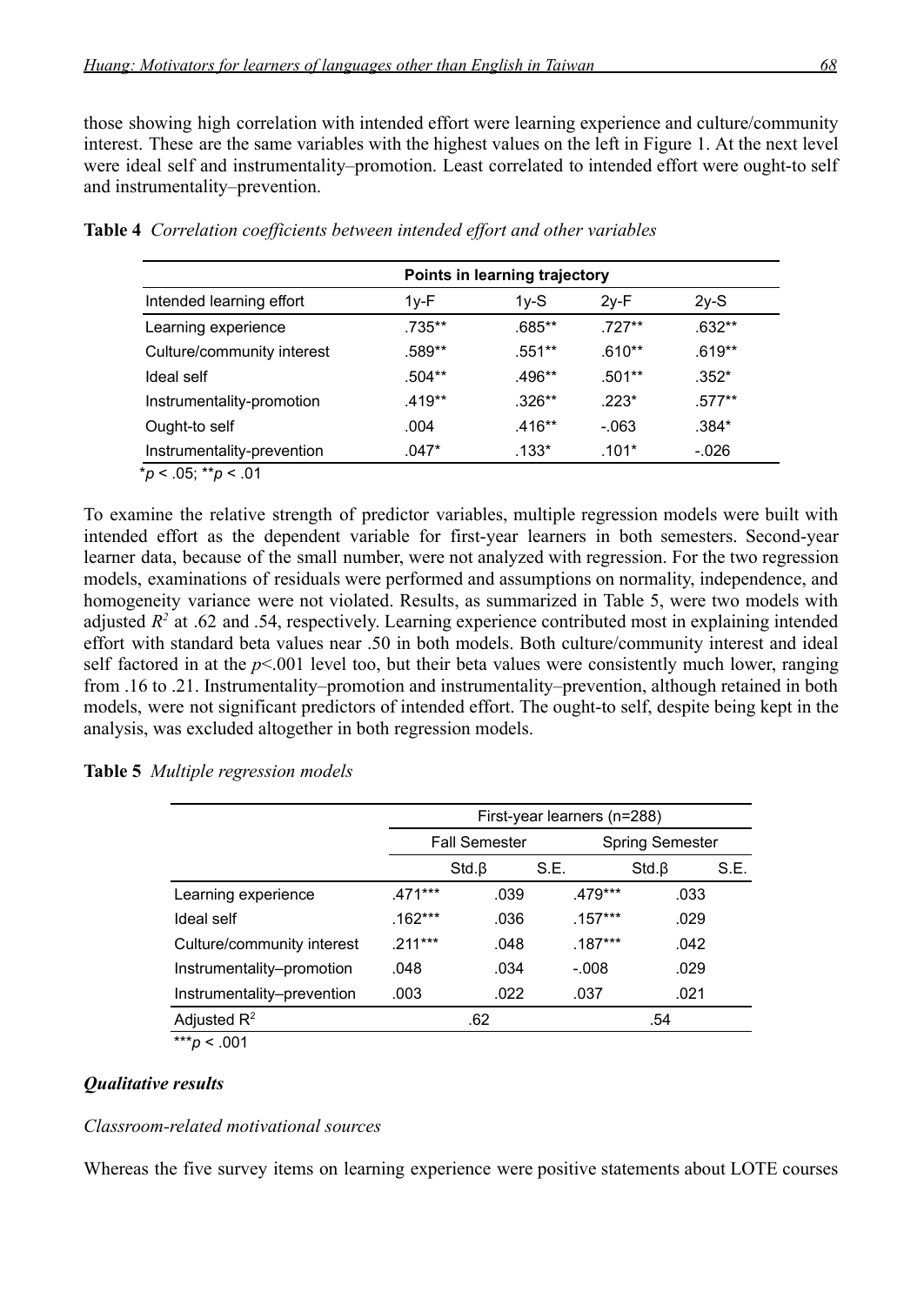those showing high correlation with intended effort were learning experience and culture/community interest. These are the same variables with the highest values on the left in Figure 1. At the next level were ideal self and instrumentality–promotion. Least correlated to intended effort were ought-to self and instrumentality–prevention.

|                            | Points in learning trajectory |          |          |          |  |  |  |
|----------------------------|-------------------------------|----------|----------|----------|--|--|--|
| Intended learning effort   | $1y-F$                        | $1v-S$   | $2y-F$   | $2y-S$   |  |  |  |
| Learning experience        | $.735***$                     | .685**   | $.727**$ | $.632**$ |  |  |  |
| Culture/community interest | .589**                        | .551**   | $.610**$ | $.619**$ |  |  |  |
| Ideal self                 | $.504**$                      | .496**   | $.501**$ | $.352*$  |  |  |  |
| Instrumentality-promotion  | $.419**$                      | $.326**$ | $.223*$  | $.577**$ |  |  |  |
| Ought-to self              | .004                          | $.416**$ | $-.063$  | $.384*$  |  |  |  |
| Instrumentality-prevention | $.047*$                       | $.133*$  | $.101*$  | $-.026$  |  |  |  |

|  | Table 4 Correlation coefficients between intended effort and other variables |  |  |  |  |  |  |  |
|--|------------------------------------------------------------------------------|--|--|--|--|--|--|--|
|--|------------------------------------------------------------------------------|--|--|--|--|--|--|--|

To examine the relative strength of predictor variables, multiple regression models were built with intended effort as the dependent variable for first-year learners in both semesters. Second-year learner data, because of the small number, were not analyzed with regression. For the two regression models, examinations of residuals were performed and assumptions on normality, independence, and homogeneity variance were not violated. Results, as summarized in Table 5, were two models with adjusted  $R^2$  at .62 and .54, respectively. Learning experience contributed most in explaining intended effort with standard beta values near .50 in both models. Both culture/community interest and ideal self factored in at the  $p<0.001$  level too, but their beta values were consistently much lower, ranging from .16 to .21. Instrumentality–promotion and instrumentality–prevention, although retained in both models, were not significant predictors of intended effort. The ought-to self, despite being kept in the analysis, was excluded altogether in both regression models.

|                            | First-year learners (n=288) |                      |           |                        |      |  |  |  |
|----------------------------|-----------------------------|----------------------|-----------|------------------------|------|--|--|--|
|                            |                             | <b>Fall Semester</b> |           | <b>Spring Semester</b> |      |  |  |  |
|                            |                             | Std.B                | S.E.      | Std.B                  | S.E. |  |  |  |
| Learning experience        | $.471***$                   | .039                 | .479***   | .033                   |      |  |  |  |
| Ideal self                 | $.162***$                   | .036                 | $.157***$ | .029                   |      |  |  |  |
| Culture/community interest | $.211***$                   | .048                 | $.187***$ | .042                   |      |  |  |  |
| Instrumentality-promotion  | .048                        | .034                 | $-.008$   | .029                   |      |  |  |  |
| Instrumentality-prevention | .003                        | .022                 | .037      | .021                   |      |  |  |  |
| Adjusted $\mathsf{R}^2$    |                             | .62                  |           | .54                    |      |  |  |  |

**Table 5** *Multiple regression models*

 $\frac{1}{2}$  ×  $\frac{1}{2}$  × .001

## *Qualitative results*

## *Classroom-related motivational sources*

Whereas the five survey items on learning experience were positive statements about LOTE courses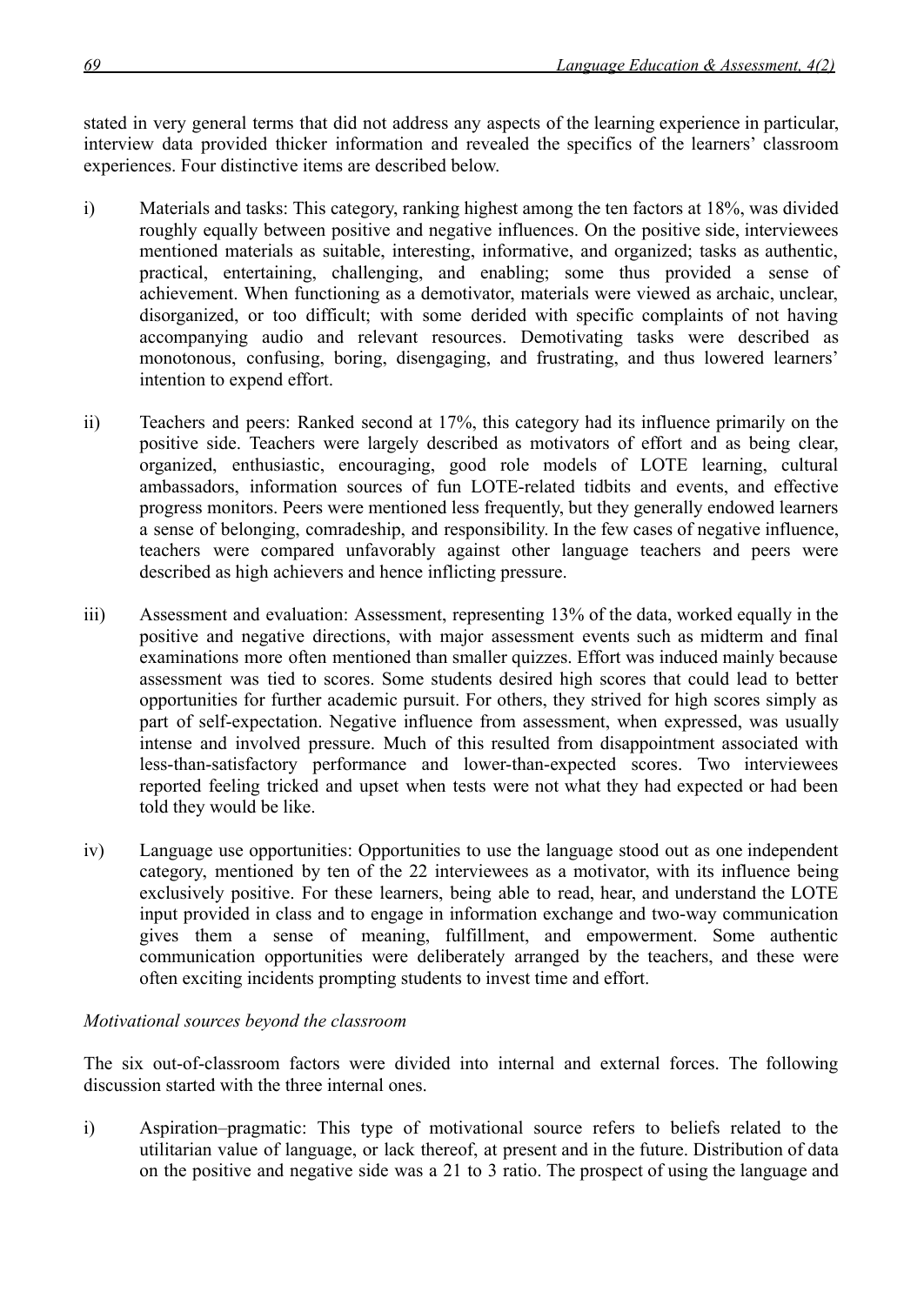stated in very general terms that did not address any aspects of the learning experience in particular, interview data provided thicker information and revealed the specifics of the learners' classroom experiences. Four distinctive items are described below.

- i) Materials and tasks: This category, ranking highest among the ten factors at 18%, was divided roughly equally between positive and negative influences. On the positive side, interviewees mentioned materials as suitable, interesting, informative, and organized; tasks as authentic, practical, entertaining, challenging, and enabling; some thus provided a sense of achievement. When functioning as a demotivator, materials were viewed as archaic, unclear, disorganized, or too difficult; with some derided with specific complaints of not having accompanying audio and relevant resources. Demotivating tasks were described as monotonous, confusing, boring, disengaging, and frustrating, and thus lowered learners' intention to expend effort.
- ii) Teachers and peers: Ranked second at 17%, this category had its influence primarily on the positive side. Teachers were largely described as motivators of effort and as being clear, organized, enthusiastic, encouraging, good role models of LOTE learning, cultural ambassadors, information sources of fun LOTE-related tidbits and events, and effective progress monitors. Peers were mentioned less frequently, but they generally endowed learners a sense of belonging, comradeship, and responsibility. In the few cases of negative influence, teachers were compared unfavorably against other language teachers and peers were described as high achievers and hence inflicting pressure.
- iii) Assessment and evaluation: Assessment, representing 13% of the data, worked equally in the positive and negative directions, with major assessment events such as midterm and final examinations more often mentioned than smaller quizzes. Effort was induced mainly because assessment was tied to scores. Some students desired high scores that could lead to better opportunities for further academic pursuit. For others, they strived for high scores simply as part of self-expectation. Negative influence from assessment, when expressed, was usually intense and involved pressure. Much of this resulted from disappointment associated with less-than-satisfactory performance and lower-than-expected scores. Two interviewees reported feeling tricked and upset when tests were not what they had expected or had been told they would be like.
- iv) Language use opportunities: Opportunities to use the language stood out as one independent category, mentioned by ten of the 22 interviewees as a motivator, with its influence being exclusively positive. For these learners, being able to read, hear, and understand the LOTE input provided in class and to engage in information exchange and two-way communication gives them a sense of meaning, fulfillment, and empowerment. Some authentic communication opportunities were deliberately arranged by the teachers, and these were often exciting incidents prompting students to invest time and effort.

## *Motivational sources beyond the classroom*

The six out-of-classroom factors were divided into internal and external forces. The following discussion started with the three internal ones.

i) Aspiration–pragmatic: This type of motivational source refers to beliefs related to the utilitarian value of language, or lack thereof, at present and in the future. Distribution of data on the positive and negative side was a 21 to 3 ratio. The prospect of using the language and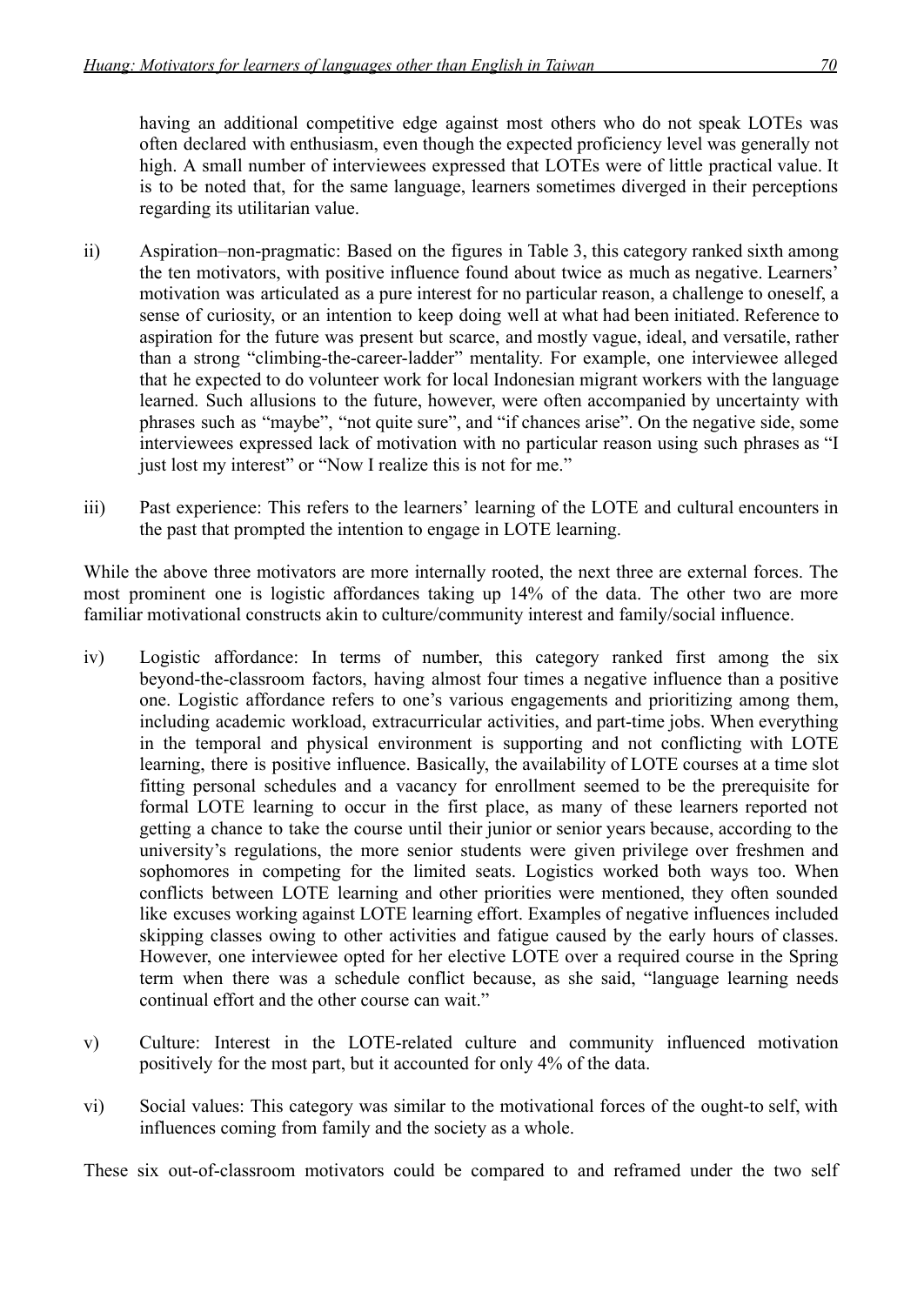having an additional competitive edge against most others who do not speak LOTEs was often declared with enthusiasm, even though the expected proficiency level was generally not high. A small number of interviewees expressed that LOTEs were of little practical value. It is to be noted that, for the same language, learners sometimes diverged in their perceptions regarding its utilitarian value.

- ii) Aspiration–non-pragmatic: Based on the figures in Table 3, this category ranked sixth among the ten motivators, with positive influence found about twice as much as negative. Learners' motivation was articulated as a pure interest for no particular reason, a challenge to oneself, a sense of curiosity, or an intention to keep doing well at what had been initiated. Reference to aspiration for the future was present but scarce, and mostly vague, ideal, and versatile, rather than a strong "climbing-the-career-ladder" mentality. For example, one interviewee alleged that he expected to do volunteer work for local Indonesian migrant workers with the language learned. Such allusions to the future, however, were often accompanied by uncertainty with phrases such as "maybe", "not quite sure", and "if chances arise". On the negative side, some interviewees expressed lack of motivation with no particular reason using such phrases as "I just lost my interest" or "Now I realize this is not for me."
- iii) Past experience: This refers to the learners' learning of the LOTE and cultural encounters in the past that prompted the intention to engage in LOTE learning.

While the above three motivators are more internally rooted, the next three are external forces. The most prominent one is logistic affordances taking up 14% of the data. The other two are more familiar motivational constructs akin to culture/community interest and family/social influence.

- iv) Logistic affordance: In terms of number, this category ranked first among the six beyond-the-classroom factors, having almost four times a negative influence than a positive one. Logistic affordance refers to one's various engagements and prioritizing among them, including academic workload, extracurricular activities, and part-time jobs. When everything in the temporal and physical environment is supporting and not conflicting with LOTE learning, there is positive influence. Basically, the availability of LOTE courses at a time slot fitting personal schedules and a vacancy for enrollment seemed to be the prerequisite for formal LOTE learning to occur in the first place, as many of these learners reported not getting a chance to take the course until their junior or senior years because, according to the university's regulations, the more senior students were given privilege over freshmen and sophomores in competing for the limited seats. Logistics worked both ways too. When conflicts between LOTE learning and other priorities were mentioned, they often sounded like excuses working against LOTE learning effort. Examples of negative influences included skipping classes owing to other activities and fatigue caused by the early hours of classes. However, one interviewee opted for her elective LOTE over a required course in the Spring term when there was a schedule conflict because, as she said, "language learning needs continual effort and the other course can wait."
- v) Culture: Interest in the LOTE-related culture and community influenced motivation positively for the most part, but it accounted for only 4% of the data.
- vi) Social values: This category was similar to the motivational forces of the ought-to self, with influences coming from family and the society as a whole.

These six out-of-classroom motivators could be compared to and reframed under the two self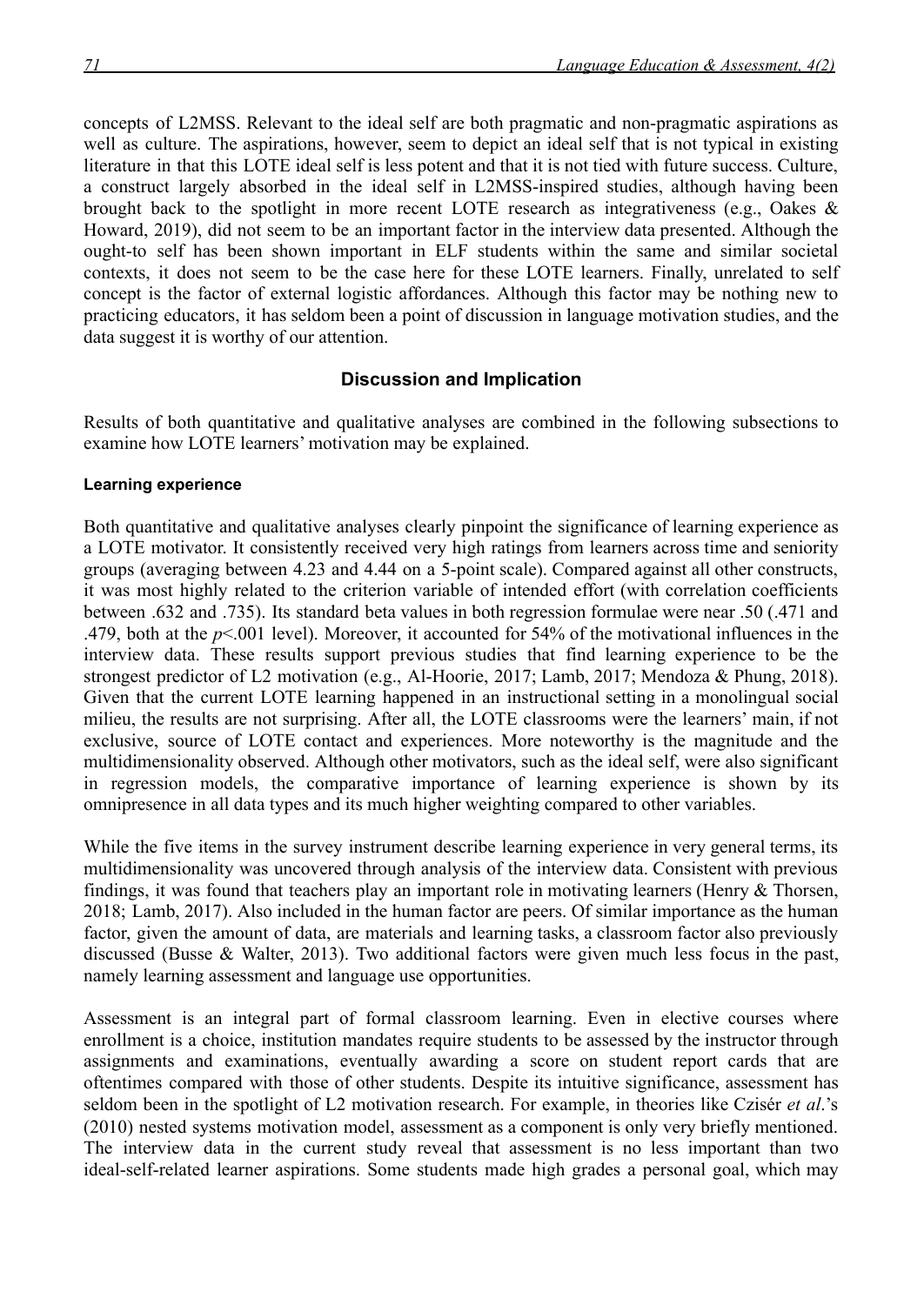concepts of L2MSS. Relevant to the ideal self are both pragmatic and non-pragmatic aspirations as well as culture. The aspirations, however, seem to depict an ideal self that is not typical in existing literature in that this LOTE ideal self is less potent and that it is not tied with future success. Culture, a construct largely absorbed in the ideal self in L2MSS-inspired studies, although having been brought back to the spotlight in more recent LOTE research as integrativeness (e.g., Oakes & Howard, 2019), did not seem to be an important factor in the interview data presented. Although the ought-to self has been shown important in ELF students within the same and similar societal contexts, it does not seem to be the case here for these LOTE learners. Finally, unrelated to self concept is the factor of external logistic affordances. Although this factor may be nothing new to practicing educators, it has seldom been a point of discussion in language motivation studies, and the data suggest it is worthy of our attention.

## **Discussion and Implication**

Results of both quantitative and qualitative analyses are combined in the following subsections to examine how LOTE learners' motivation may be explained.

#### **Learning experience**

Both quantitative and qualitative analyses clearly pinpoint the significance of learning experience as a LOTE motivator. It consistently received very high ratings from learners across time and seniority groups (averaging between 4.23 and 4.44 on a 5-point scale). Compared against all other constructs, it was most highly related to the criterion variable of intended effort (with correlation coefficients between .632 and .735). Its standard beta values in both regression formulae were near .50 (.471 and .479, both at the *p*<.001 level). Moreover, it accounted for 54% of the motivational influences in the interview data. These results support previous studies that find learning experience to be the strongest predictor of L2 motivation (e.g., Al-Hoorie, 2017; Lamb, 2017; Mendoza & Phung, 2018). Given that the current LOTE learning happened in an instructional setting in a monolingual social milieu, the results are not surprising. After all, the LOTE classrooms were the learners' main, if not exclusive, source of LOTE contact and experiences. More noteworthy is the magnitude and the multidimensionality observed. Although other motivators, such as the ideal self, were also significant in regression models, the comparative importance of learning experience is shown by its omnipresence in all data types and its much higher weighting compared to other variables.

While the five items in the survey instrument describe learning experience in very general terms, its multidimensionality was uncovered through analysis of the interview data. Consistent with previous findings, it was found that teachers play an important role in motivating learners (Henry & Thorsen, 2018; Lamb, 2017). Also included in the human factor are peers. Of similar importance as the human factor, given the amount of data, are materials and learning tasks, a classroom factor also previously discussed (Busse & Walter, 2013). Two additional factors were given much less focus in the past, namely learning assessment and language use opportunities.

Assessment is an integral part of formal classroom learning. Even in elective courses where enrollment is a choice, institution mandates require students to be assessed by the instructor through assignments and examinations, eventually awarding a score on student report cards that are oftentimes compared with those of other students. Despite its intuitive significance, assessment has seldom been in the spotlight of L2 motivation research. For example, in theories like Czisér *et al*.'s (2010) nested systems motivation model, assessment as a component is only very briefly mentioned. The interview data in the current study reveal that assessment is no less important than two ideal-self-related learner aspirations. Some students made high grades a personal goal, which may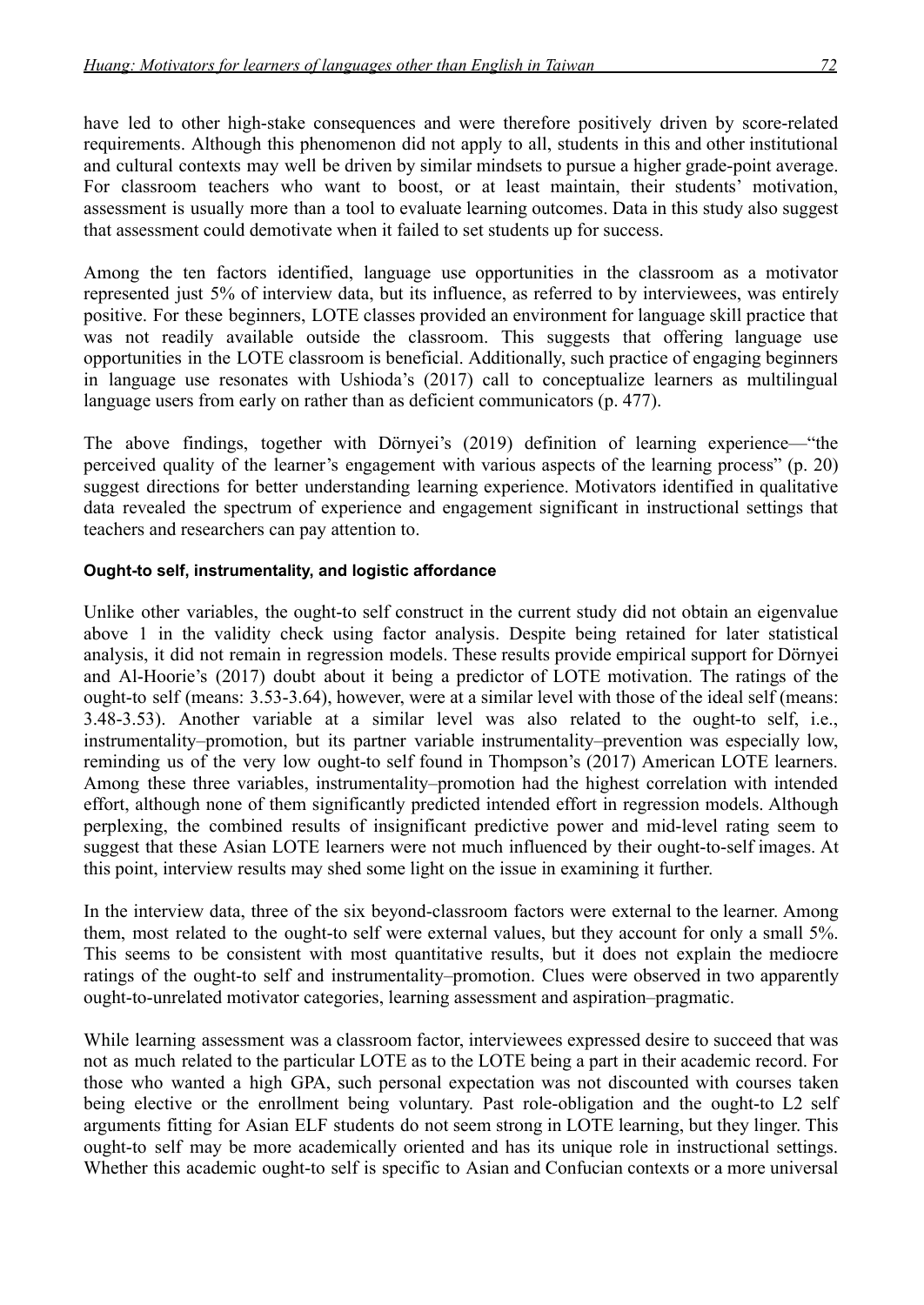have led to other high-stake consequences and were therefore positively driven by score-related requirements. Although this phenomenon did not apply to all, students in this and other institutional and cultural contexts may well be driven by similar mindsets to pursue a higher grade-point average. For classroom teachers who want to boost, or at least maintain, their students' motivation, assessment is usually more than a tool to evaluate learning outcomes. Data in this study also suggest that assessment could demotivate when it failed to set students up for success.

Among the ten factors identified, language use opportunities in the classroom as a motivator represented just 5% of interview data, but its influence, as referred to by interviewees, was entirely positive. For these beginners, LOTE classes provided an environment for language skill practice that was not readily available outside the classroom. This suggests that offering language use opportunities in the LOTE classroom is beneficial. Additionally, such practice of engaging beginners in language use resonates with Ushioda's (2017) call to conceptualize learners as multilingual language users from early on rather than as deficient communicators (p. 477).

The above findings, together with Dörnyei's (2019) definition of learning experience—"the perceived quality of the learner's engagement with various aspects of the learning process" (p. 20) suggest directions for better understanding learning experience. Motivators identified in qualitative data revealed the spectrum of experience and engagement significant in instructional settings that teachers and researchers can pay attention to.

## **Ought-to self, instrumentality, and logistic affordance**

Unlike other variables, the ought-to self construct in the current study did not obtain an eigenvalue above 1 in the validity check using factor analysis. Despite being retained for later statistical analysis, it did not remain in regression models. These results provide empirical support for Dörnyei and Al-Hoorie's (2017) doubt about it being a predictor of LOTE motivation. The ratings of the ought-to self (means: 3.53-3.64), however, were at a similar level with those of the ideal self (means: 3.48-3.53). Another variable at a similar level was also related to the ought-to self, i.e., instrumentality–promotion, but its partner variable instrumentality–prevention was especially low, reminding us of the very low ought-to self found in Thompson's (2017) American LOTE learners. Among these three variables, instrumentality–promotion had the highest correlation with intended effort, although none of them significantly predicted intended effort in regression models. Although perplexing, the combined results of insignificant predictive power and mid-level rating seem to suggest that these Asian LOTE learners were not much influenced by their ought-to-self images. At this point, interview results may shed some light on the issue in examining it further.

In the interview data, three of the six beyond-classroom factors were external to the learner. Among them, most related to the ought-to self were external values, but they account for only a small 5%. This seems to be consistent with most quantitative results, but it does not explain the mediocre ratings of the ought-to self and instrumentality–promotion. Clues were observed in two apparently ought-to-unrelated motivator categories, learning assessment and aspiration–pragmatic.

While learning assessment was a classroom factor, interviewees expressed desire to succeed that was not as much related to the particular LOTE as to the LOTE being a part in their academic record. For those who wanted a high GPA, such personal expectation was not discounted with courses taken being elective or the enrollment being voluntary. Past role-obligation and the ought-to L2 self arguments fitting for Asian ELF students do not seem strong in LOTE learning, but they linger. This ought-to self may be more academically oriented and has its unique role in instructional settings. Whether this academic ought-to self is specific to Asian and Confucian contexts or a more universal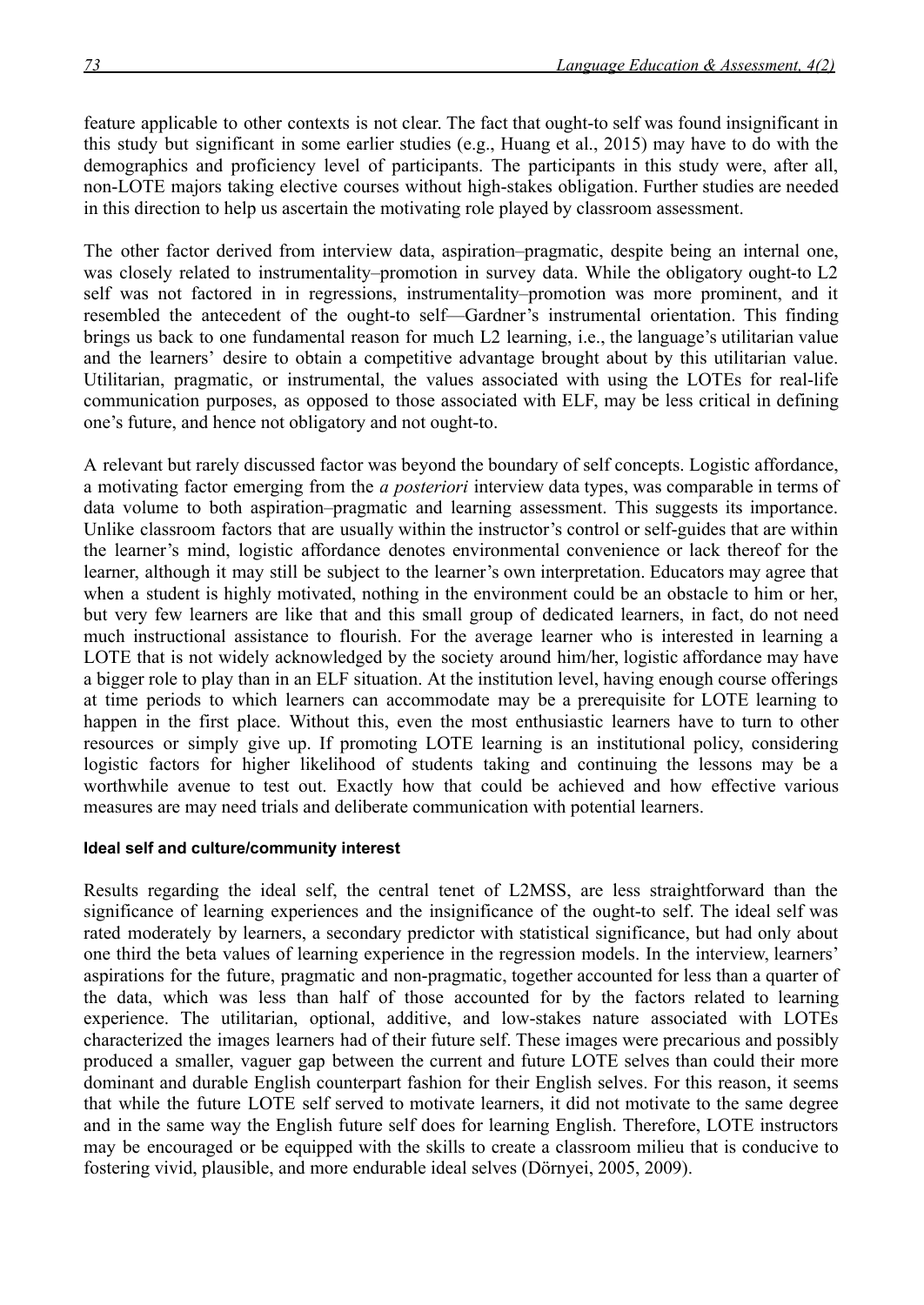feature applicable to other contexts is not clear. The fact that ought-to self was found insignificant in this study but significant in some earlier studies (e.g., Huang et al., 2015) may have to do with the demographics and proficiency level of participants. The participants in this study were, after all, non-LOTE majors taking elective courses without high-stakes obligation. Further studies are needed in this direction to help us ascertain the motivating role played by classroom assessment.

The other factor derived from interview data, aspiration–pragmatic, despite being an internal one, was closely related to instrumentality–promotion in survey data. While the obligatory ought-to L2 self was not factored in in regressions, instrumentality–promotion was more prominent, and it resembled the antecedent of the ought-to self—Gardner's instrumental orientation. This finding brings us back to one fundamental reason for much L2 learning, i.e., the language's utilitarian value and the learners' desire to obtain a competitive advantage brought about by this utilitarian value. Utilitarian, pragmatic, or instrumental, the values associated with using the LOTEs for real-life communication purposes, as opposed to those associated with ELF, may be less critical in defining one's future, and hence not obligatory and not ought-to.

A relevant but rarely discussed factor was beyond the boundary of self concepts. Logistic affordance, a motivating factor emerging from the *a posteriori* interview data types, was comparable in terms of data volume to both aspiration–pragmatic and learning assessment. This suggests its importance. Unlike classroom factors that are usually within the instructor's control or self-guides that are within the learner's mind, logistic affordance denotes environmental convenience or lack thereof for the learner, although it may still be subject to the learner's own interpretation. Educators may agree that when a student is highly motivated, nothing in the environment could be an obstacle to him or her, but very few learners are like that and this small group of dedicated learners, in fact, do not need much instructional assistance to flourish. For the average learner who is interested in learning a LOTE that is not widely acknowledged by the society around him/her, logistic affordance may have a bigger role to play than in an ELF situation. At the institution level, having enough course offerings at time periods to which learners can accommodate may be a prerequisite for LOTE learning to happen in the first place. Without this, even the most enthusiastic learners have to turn to other resources or simply give up. If promoting LOTE learning is an institutional policy, considering logistic factors for higher likelihood of students taking and continuing the lessons may be a worthwhile avenue to test out. Exactly how that could be achieved and how effective various measures are may need trials and deliberate communication with potential learners.

#### **Ideal self and culture/community interest**

Results regarding the ideal self, the central tenet of L2MSS, are less straightforward than the significance of learning experiences and the insignificance of the ought-to self. The ideal self was rated moderately by learners, a secondary predictor with statistical significance, but had only about one third the beta values of learning experience in the regression models. In the interview, learners' aspirations for the future, pragmatic and non-pragmatic, together accounted for less than a quarter of the data, which was less than half of those accounted for by the factors related to learning experience. The utilitarian, optional, additive, and low-stakes nature associated with LOTEs characterized the images learners had of their future self. These images were precarious and possibly produced a smaller, vaguer gap between the current and future LOTE selves than could their more dominant and durable English counterpart fashion for their English selves. For this reason, it seems that while the future LOTE self served to motivate learners, it did not motivate to the same degree and in the same way the English future self does for learning English. Therefore, LOTE instructors may be encouraged or be equipped with the skills to create a classroom milieu that is conducive to fostering vivid, plausible, and more endurable ideal selves (Dörnyei, 2005, 2009).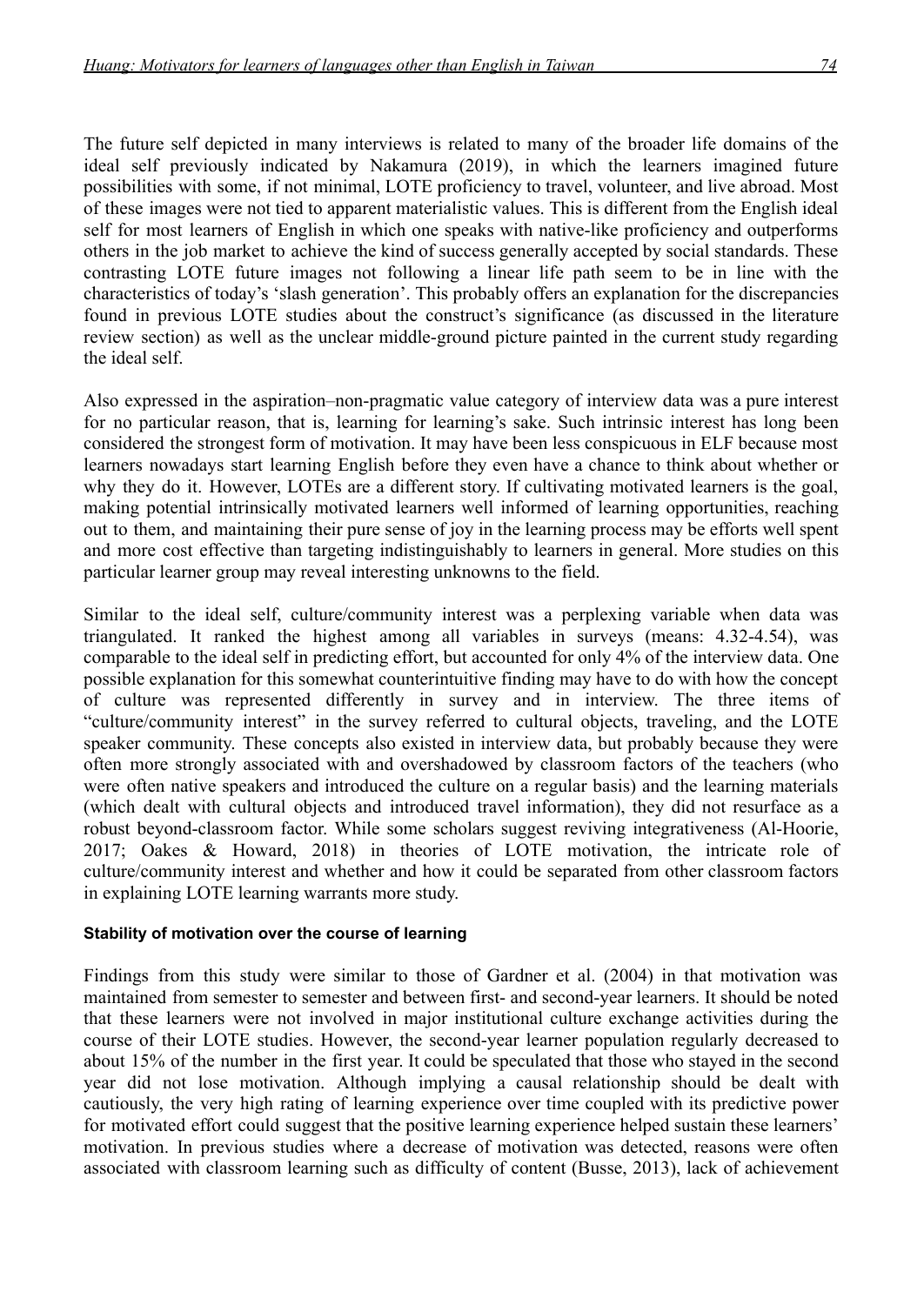The future self depicted in many interviews is related to many of the broader life domains of the ideal self previously indicated by Nakamura (2019), in which the learners imagined future possibilities with some, if not minimal, LOTE proficiency to travel, volunteer, and live abroad. Most of these images were not tied to apparent materialistic values. This is different from the English ideal self for most learners of English in which one speaks with native-like proficiency and outperforms others in the job market to achieve the kind of success generally accepted by social standards. These contrasting LOTE future images not following a linear life path seem to be in line with the characteristics of today's 'slash generation'. This probably offers an explanation for the discrepancies found in previous LOTE studies about the construct's significance (as discussed in the literature review section) as well as the unclear middle-ground picture painted in the current study regarding the ideal self.

Also expressed in the aspiration–non-pragmatic value category of interview data was a pure interest for no particular reason, that is, learning for learning's sake. Such intrinsic interest has long been considered the strongest form of motivation. It may have been less conspicuous in ELF because most learners nowadays start learning English before they even have a chance to think about whether or why they do it. However, LOTEs are a different story. If cultivating motivated learners is the goal, making potential intrinsically motivated learners well informed of learning opportunities, reaching out to them, and maintaining their pure sense of joy in the learning process may be efforts well spent and more cost effective than targeting indistinguishably to learners in general. More studies on this particular learner group may reveal interesting unknowns to the field.

Similar to the ideal self, culture/community interest was a perplexing variable when data was triangulated. It ranked the highest among all variables in surveys (means: 4.32-4.54), was comparable to the ideal self in predicting effort, but accounted for only 4% of the interview data. One possible explanation for this somewhat counterintuitive finding may have to do with how the concept of culture was represented differently in survey and in interview. The three items of "culture/community interest" in the survey referred to cultural objects, traveling, and the LOTE speaker community. These concepts also existed in interview data, but probably because they were often more strongly associated with and overshadowed by classroom factors of the teachers (who were often native speakers and introduced the culture on a regular basis) and the learning materials (which dealt with cultural objects and introduced travel information), they did not resurface as a robust beyond-classroom factor. While some scholars suggest reviving integrativeness (Al-Hoorie, 2017; Oakes & Howard, 2018) in theories of LOTE motivation, the intricate role of culture/community interest and whether and how it could be separated from other classroom factors in explaining LOTE learning warrants more study.

#### **Stability of motivation over the course of learning**

Findings from this study were similar to those of Gardner et al. (2004) in that motivation was maintained from semester to semester and between first- and second-year learners. It should be noted that these learners were not involved in major institutional culture exchange activities during the course of their LOTE studies. However, the second-year learner population regularly decreased to about 15% of the number in the first year. It could be speculated that those who stayed in the second year did not lose motivation. Although implying a causal relationship should be dealt with cautiously, the very high rating of learning experience over time coupled with its predictive power for motivated effort could suggest that the positive learning experience helped sustain these learners' motivation. In previous studies where a decrease of motivation was detected, reasons were often associated with classroom learning such as difficulty of content (Busse, 2013), lack of achievement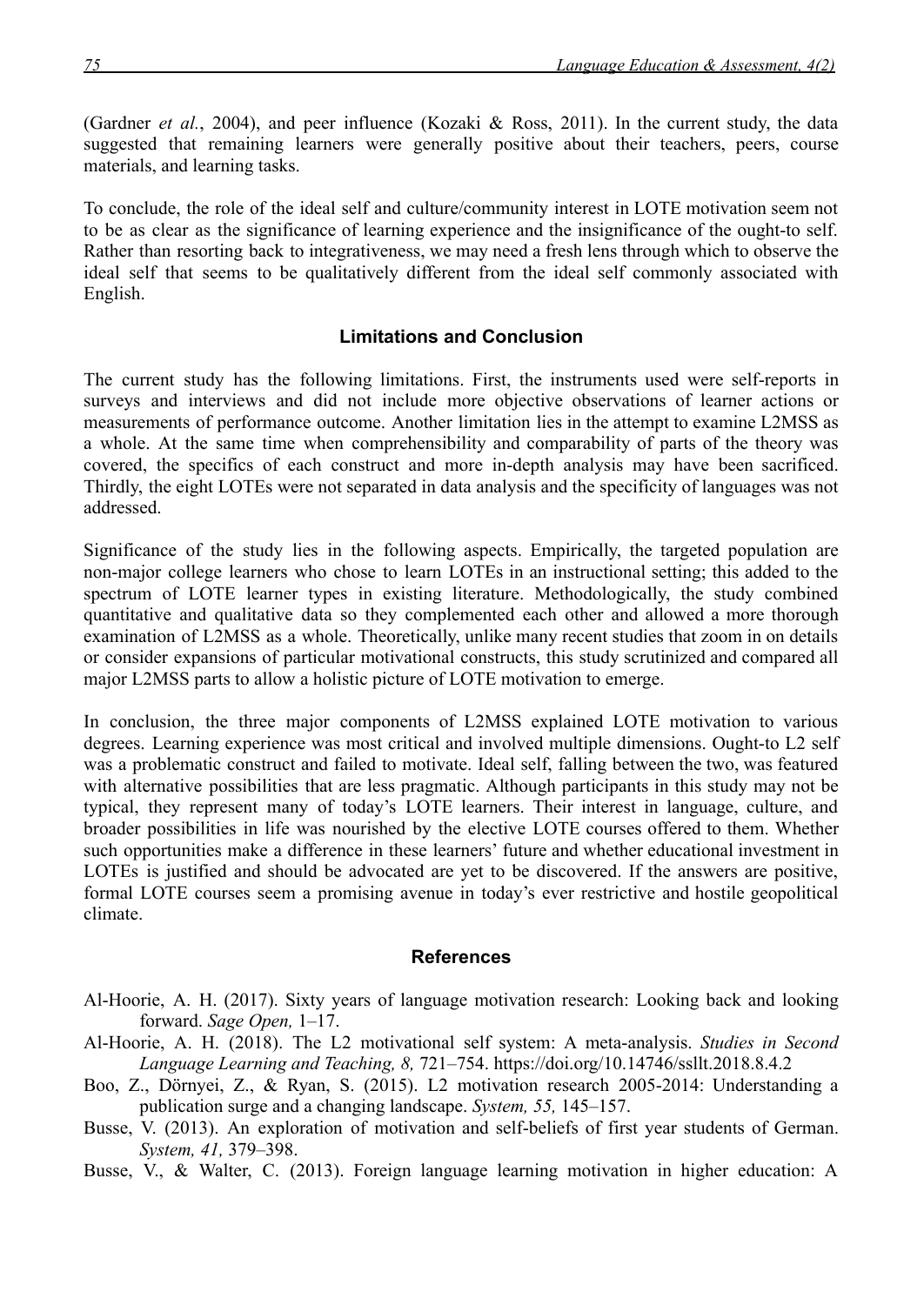(Gardner *et al.*, 2004), and peer influence (Kozaki & Ross, 2011). In the current study, the data suggested that remaining learners were generally positive about their teachers, peers, course materials, and learning tasks.

To conclude, the role of the ideal self and culture/community interest in LOTE motivation seem not to be as clear as the significance of learning experience and the insignificance of the ought-to self. Rather than resorting back to integrativeness, we may need a fresh lens through which to observe the ideal self that seems to be qualitatively different from the ideal self commonly associated with English.

#### **Limitations and Conclusion**

The current study has the following limitations. First, the instruments used were self-reports in surveys and interviews and did not include more objective observations of learner actions or measurements of performance outcome. Another limitation lies in the attempt to examine L2MSS as a whole. At the same time when comprehensibility and comparability of parts of the theory was covered, the specifics of each construct and more in-depth analysis may have been sacrificed. Thirdly, the eight LOTEs were not separated in data analysis and the specificity of languages was not addressed.

Significance of the study lies in the following aspects. Empirically, the targeted population are non-major college learners who chose to learn LOTEs in an instructional setting; this added to the spectrum of LOTE learner types in existing literature. Methodologically, the study combined quantitative and qualitative data so they complemented each other and allowed a more thorough examination of L2MSS as a whole. Theoretically, unlike many recent studies that zoom in on details or consider expansions of particular motivational constructs, this study scrutinized and compared all major L2MSS parts to allow a holistic picture of LOTE motivation to emerge.

In conclusion, the three major components of L2MSS explained LOTE motivation to various degrees. Learning experience was most critical and involved multiple dimensions. Ought-to L2 self was a problematic construct and failed to motivate. Ideal self, falling between the two, was featured with alternative possibilities that are less pragmatic. Although participants in this study may not be typical, they represent many of today's LOTE learners. Their interest in language, culture, and broader possibilities in life was nourished by the elective LOTE courses offered to them. Whether such opportunities make a difference in these learners' future and whether educational investment in LOTEs is justified and should be advocated are yet to be discovered. If the answers are positive, formal LOTE courses seem a promising avenue in today's ever restrictive and hostile geopolitical climate.

#### **References**

- Al-Hoorie, A. H. (2017). Sixty years of language motivation research: Looking back and looking forward. *Sage Open,* 1–17.
- Al-Hoorie, A. H. (2018). The L2 motivational self system: A meta-analysis. *Studies in Second Language Learning and Teaching, 8,* 721–754.<https://doi.org/10.14746/ssllt.2018.8.4.2>
- Boo, Z., Dörnyei, Z., & Ryan, S. (2015). L2 motivation research 2005-2014: Understanding a publication surge and a changing landscape. *System, 55,* 145–157.
- Busse, V. (2013). An exploration of motivation and self-beliefs of first year students of German. *System, 41,* 379–398.
- Busse, V., & Walter, C. (2013). Foreign language learning motivation in higher education: A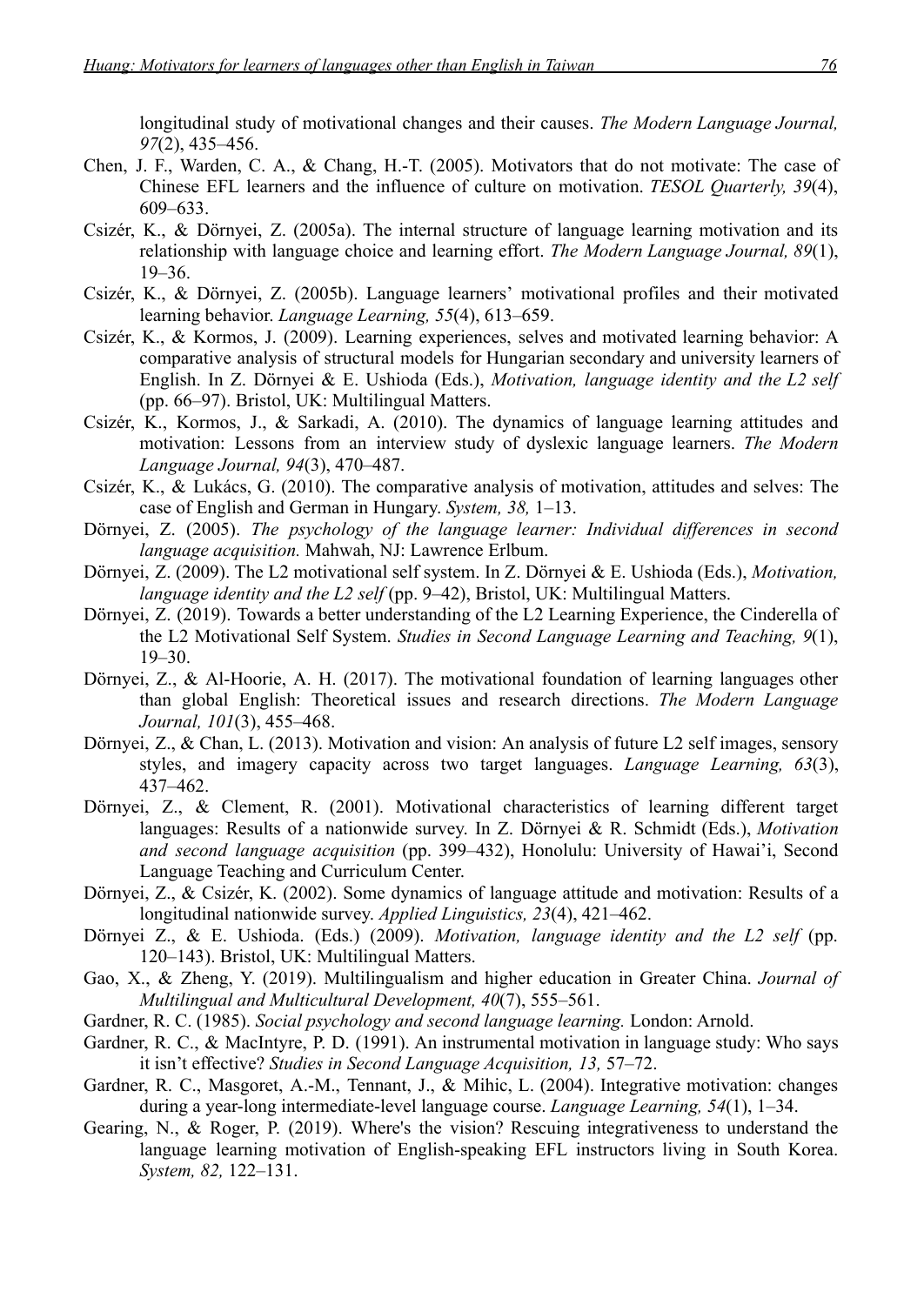longitudinal study of motivational changes and their causes. *The Modern Language Journal, 97*(2), 435–456.

- Chen, J. F., Warden, C. A., & Chang, H.-T. (2005). Motivators that do not motivate: The case of Chinese EFL learners and the influence of culture on motivation. *TESOL Quarterly, 39*(4), 609–633.
- Csizér, K., & Dörnyei, Z. (2005a). The internal structure of language learning motivation and its relationship with language choice and learning effort. *The Modern Language Journal, 89*(1), 19–36.
- Csizér, K., & Dörnyei, Z. (2005b). Language learners' motivational profiles and their motivated learning behavior. *Language Learning, 55*(4), 613–659.
- Csizér, K., & Kormos, J. (2009). Learning experiences, selves and motivated learning behavior: A comparative analysis of structural models for Hungarian secondary and university learners of English. In Z. Dörnyei & E. Ushioda (Eds.), *Motivation, language identity and the L2 self* (pp. 66–97). Bristol, UK: Multilingual Matters.
- Csizér, K., Kormos, J., & Sarkadi, A. (2010). The dynamics of language learning attitudes and motivation: Lessons from an interview study of dyslexic language learners. *The Modern Language Journal, 94*(3), 470–487.
- Csizér, K., & Lukács, G. (2010). The comparative analysis of motivation, attitudes and selves: The case of English and German in Hungary. *System, 38,* 1–13.
- Dörnyei, Z. (2005). *The psychology of the language learner: Individual differences in second language acquisition.* Mahwah, NJ: Lawrence Erlbum.
- Dörnyei, Z. (2009). The L2 motivational self system. In Z. Dörnyei & E. Ushioda (Eds.), *Motivation, language identity and the L2 self* (pp. 9–42), Bristol, UK: Multilingual Matters.
- Dörnyei, Z. (2019). Towards a better understanding of the L2 Learning Experience, the Cinderella of the L2 Motivational Self System. *Studies in Second Language Learning and Teaching, 9*(1),  $19-30.$
- Dörnyei, Z., & Al-Hoorie, A. H. (2017). The motivational foundation of learning languages other than global English: Theoretical issues and research directions. *The Modern Language Journal, 101*(3), 455–468.
- Dörnyei, Z., & Chan, L. (2013). Motivation and vision: An analysis of future L2 self images, sensory styles, and imagery capacity across two target languages. *Language Learning, 63*(3), 437–462.
- Dörnyei, Z., & Clement, R. (2001). Motivational characteristics of learning different target languages: Results of a nationwide survey. In Z. Dörnyei & R. Schmidt (Eds.), *Motivation and second language acquisition* (pp. 399–432), Honolulu: University of Hawai'i, Second Language Teaching and Curriculum Center.
- Dörnyei, Z., & Csizér, K. (2002). Some dynamics of language attitude and motivation: Results of a longitudinal nationwide survey. *Applied Linguistics, 23*(4), 421–462.
- Dörnyei Z., & E. Ushioda. (Eds.) (2009). *Motivation, language identity and the L2 self* (pp. 120–143). Bristol, UK: Multilingual Matters.
- Gao, X., & Zheng, Y. (2019). Multilingualism and higher education in Greater China. *Journal of Multilingual and Multicultural Development, 40*(7), 555–561.
- Gardner, R. C. (1985). *Social psychology and second language learning.* London: Arnold.
- Gardner, R. C., & MacIntyre, P. D. (1991). An instrumental motivation in language study: Who says it isn't effective? *Studies in Second Language Acquisition, 13,* 57–72.
- Gardner, R. C., Masgoret, A.-M., Tennant, J., & Mihic, L. (2004). Integrative motivation: changes during a year-long intermediate-level language course. *Language Learning, 54*(1), 1–34.
- Gearing, N., & Roger, P. (2019). Where's the vision? Rescuing integrativeness to understand the language learning motivation of English-speaking EFL instructors living in South Korea. *System, 82,* 122–131.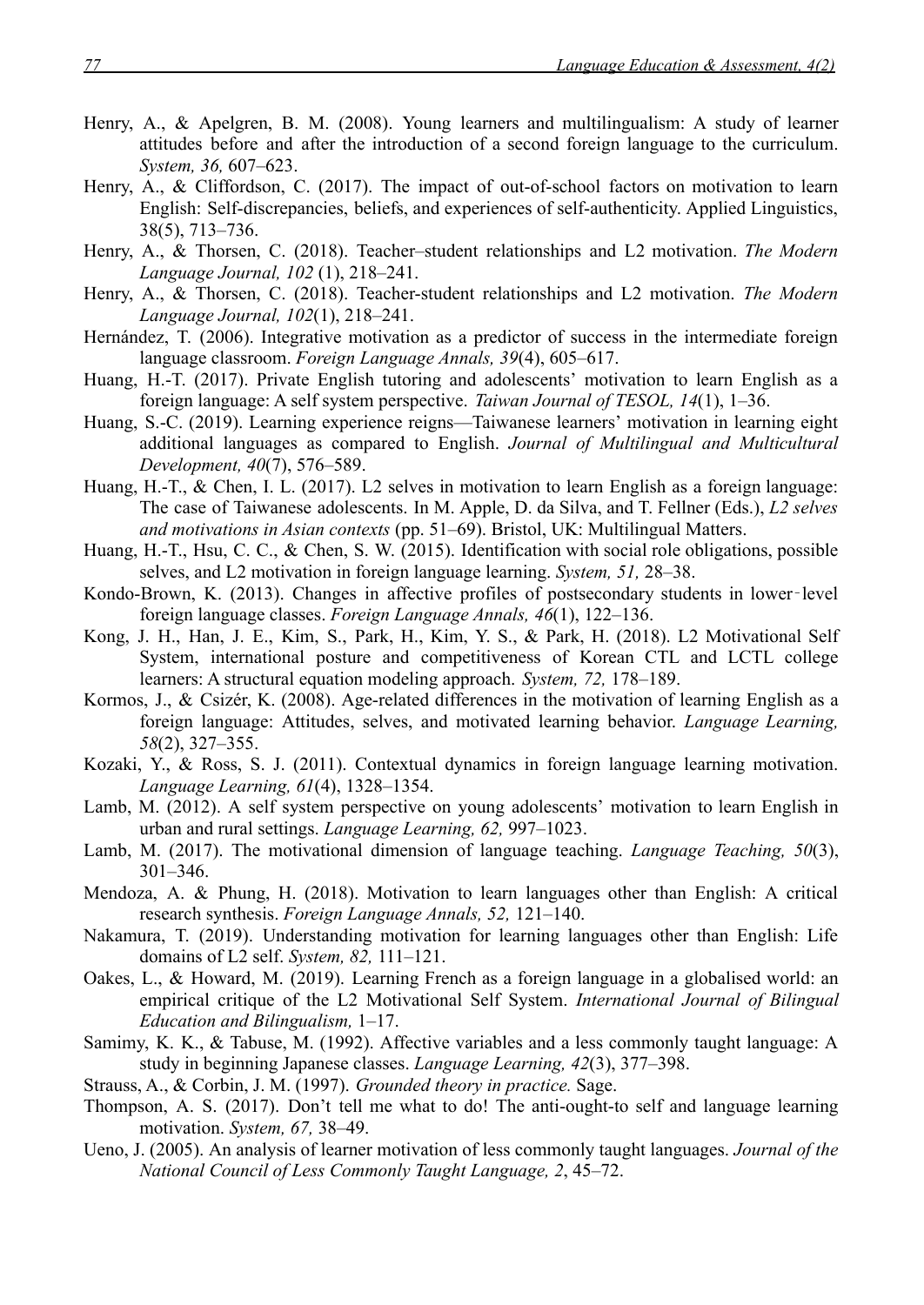- Henry, A., & Apelgren, B. M. (2008). Young learners and multilingualism: A study of learner attitudes before and after the introduction of a second foreign language to the curriculum. *System, 36,* 607–623.
- Henry, A., & Cliffordson, C. (2017). The impact of out-of-school factors on motivation to learn English: Self-discrepancies, beliefs, and experiences of self-authenticity. Applied Linguistics, 38(5), 713–736.
- Henry, A., & Thorsen, C. (2018). Teacher–student relationships and L2 motivation. *The Modern Language Journal, 102* (1), 218–241.
- Henry, A., & Thorsen, C. (2018). Teacher-student relationships and L2 motivation. *The Modern Language Journal, 102*(1), 218–241.
- Hernández, T. (2006). Integrative motivation as a predictor of success in the intermediate foreign language classroom. *Foreign Language Annals, 39*(4), 605–617.
- Huang, H.-T. (2017). Private English tutoring and adolescents' motivation to learn English as a foreign language: A self system perspective. *Taiwan Journal of TESOL, 14*(1), 1–36.
- Huang, S.-C. (2019). Learning experience reigns—Taiwanese learners' motivation in learning eight additional languages as compared to English. *Journal of Multilingual and Multicultural Development, 40*(7), 576–589.
- Huang, H.-T., & Chen, I. L. (2017). L2 selves in motivation to learn English as a foreign language: The case of Taiwanese adolescents. In M. Apple, D. da Silva, and T. Fellner (Eds.), *L2 selves and motivations in Asian contexts* (pp. 51–69). Bristol, UK: Multilingual Matters.
- Huang, H.-T., Hsu, C. C., & Chen, S. W. (2015). Identification with social role obligations, possible selves, and L2 motivation in foreign language learning. *System, 51,* 28–38.
- Kondo-Brown, K. (2013). Changes in affective profiles of postsecondary students in lower-level foreign language classes. *Foreign Language Annals, 46*(1), 122–136.
- Kong, J. H., Han, J. E., Kim, S., Park, H., Kim, Y. S., & Park, H. (2018). L2 Motivational Self System, international posture and competitiveness of Korean CTL and LCTL college learners: A structural equation modeling approach. *System, 72,* 178–189.
- Kormos, J., & Csizér, K. (2008). Age-related differences in the motivation of learning English as a foreign language: Attitudes, selves, and motivated learning behavior. *Language Learning, 58*(2), 327–355.
- Kozaki, Y., & Ross, S. J. (2011). Contextual dynamics in foreign language learning motivation. *Language Learning, 61*(4), 1328–1354.
- Lamb, M. (2012). A self system perspective on young adolescents' motivation to learn English in urban and rural settings. *Language Learning, 62,* 997–1023.
- Lamb, M. (2017). The motivational dimension of language teaching. *Language Teaching, 50*(3), 301–346.
- Mendoza, A. & Phung, H. (2018). Motivation to learn languages other than English: A critical research synthesis. *Foreign Language Annals, 52,* 121–140.
- Nakamura, T. (2019). Understanding motivation for learning languages other than English: Life domains of L2 self. *System, 82,* 111–121.
- Oakes, L., & Howard, M. (2019). Learning French as a foreign language in a globalised world: an empirical critique of the L2 Motivational Self System. *International Journal of Bilingual Education and Bilingualism,* 1–17.
- Samimy, K. K., & Tabuse, M. (1992). Affective variables and a less commonly taught language: A study in beginning Japanese classes. *Language Learning, 42*(3), 377–398.
- Strauss, A., & Corbin, J. M. (1997). *Grounded theory in practice.* Sage.
- Thompson, A. S. (2017). Don't tell me what to do! The anti-ought-to self and language learning motivation. *System, 67,* 38–49.
- Ueno, J. (2005). An analysis of learner motivation of less commonly taught languages. *Journal of the National Council of Less Commonly Taught Language, 2*, 45–72.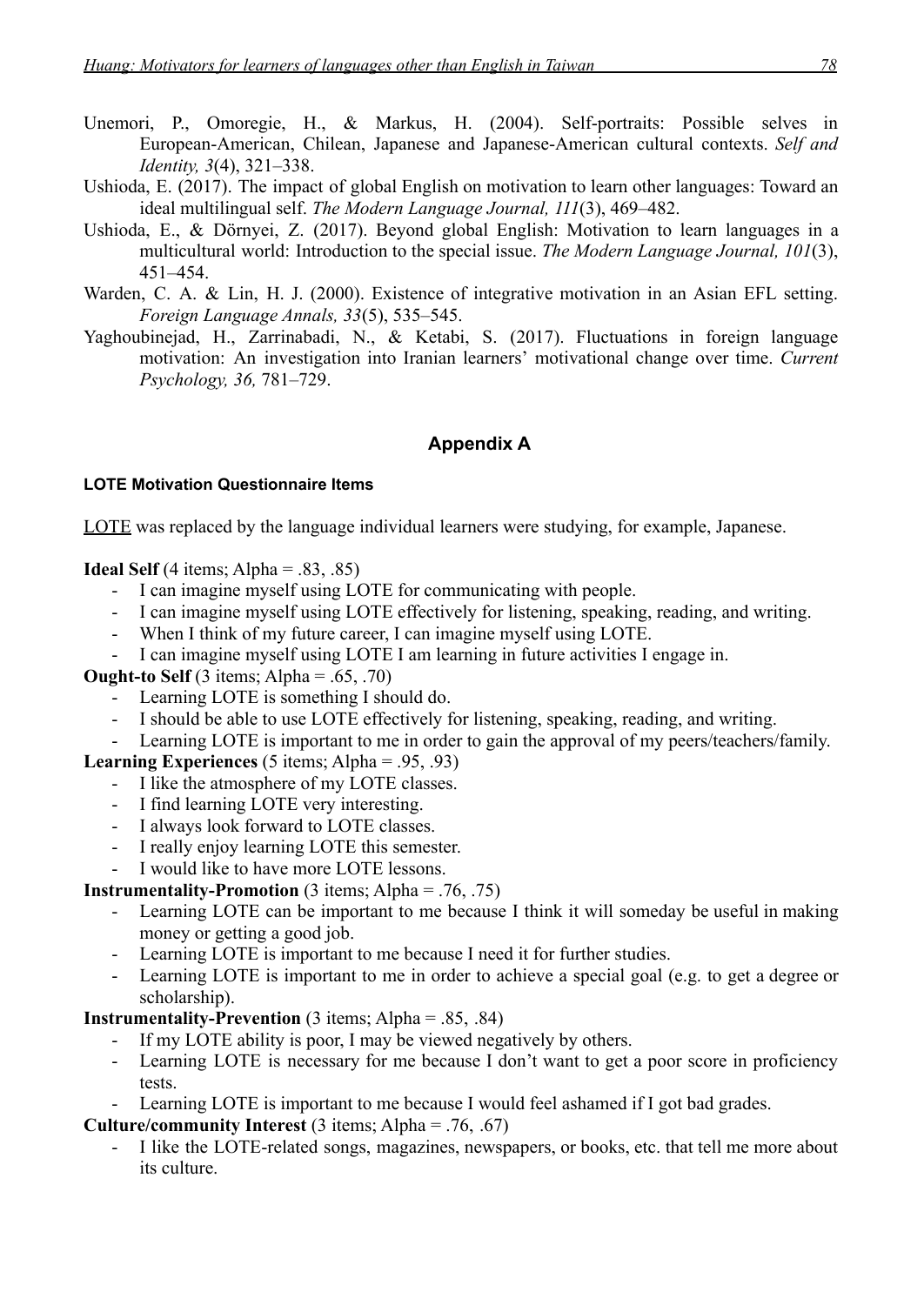- Unemori, P., Omoregie, H., & Markus, H. (2004). Self-portraits: Possible selves in European-American, Chilean, Japanese and Japanese-American cultural contexts. *Self and Identity, 3*(4), 321–338.
- Ushioda, E. (2017). The impact of global English on motivation to learn other languages: Toward an ideal multilingual self. *The Modern Language Journal, 111*(3), 469–482.
- Ushioda, E., & Dörnyei, Z. (2017). Beyond global English: Motivation to learn languages in a multicultural world: Introduction to the special issue. *The Modern Language Journal, 101*(3), 451–454.
- Warden, C. A. & Lin, H. J. (2000). Existence of integrative motivation in an Asian EFL setting. *Foreign Language Annals, 33*(5), 535–545.
- Yaghoubinejad, H., Zarrinabadi, N., & Ketabi, S. (2017). Fluctuations in foreign language motivation: An investigation into Iranian learners' motivational change over time. *Current Psychology, 36,* 781–729.

## **Appendix A**

## **LOTE Motivation Questionnaire Items**

LOTE was replaced by the language individual learners were studying, for example, Japanese.

**Ideal Self** (4 items; Alpha =  $.83, .85$ )

- I can imagine myself using LOTE for communicating with people.
- I can imagine myself using LOTE effectively for listening, speaking, reading, and writing.
- When I think of my future career, I can imagine myself using LOTE.
- I can imagine myself using LOTE I am learning in future activities I engage in.

**Ought-to Self** (3 items; Alpha =  $.65, .70$ )

- Learning LOTE is something I should do.
- I should be able to use LOTE effectively for listening, speaking, reading, and writing.
- Learning LOTE is important to me in order to gain the approval of my peers/teachers/family.

## **Learning Experiences** (5 items; Alpha = .95, .93)

- I like the atmosphere of my LOTE classes.
- I find learning LOTE very interesting.
- I always look forward to LOTE classes.
- I really enjoy learning LOTE this semester.
- I would like to have more LOTE lessons.

**Instrumentality-Promotion** (3 items; Alpha =  $.76, .75$ )

- Learning LOTE can be important to me because I think it will someday be useful in making money or getting a good job.
- Learning LOTE is important to me because I need it for further studies.
- Learning LOTE is important to me in order to achieve a special goal (e.g. to get a degree or scholarship).

**Instrumentality-Prevention** (3 items; Alpha =  $.85, .84$ )

- If my LOTE ability is poor, I may be viewed negatively by others.
- Learning LOTE is necessary for me because I don't want to get a poor score in proficiency tests.
- Learning LOTE is important to me because I would feel ashamed if I got bad grades.

**Culture/community Interest** (3 items; Alpha = .76, .67)

I like the LOTE-related songs, magazines, newspapers, or books, etc. that tell me more about its culture.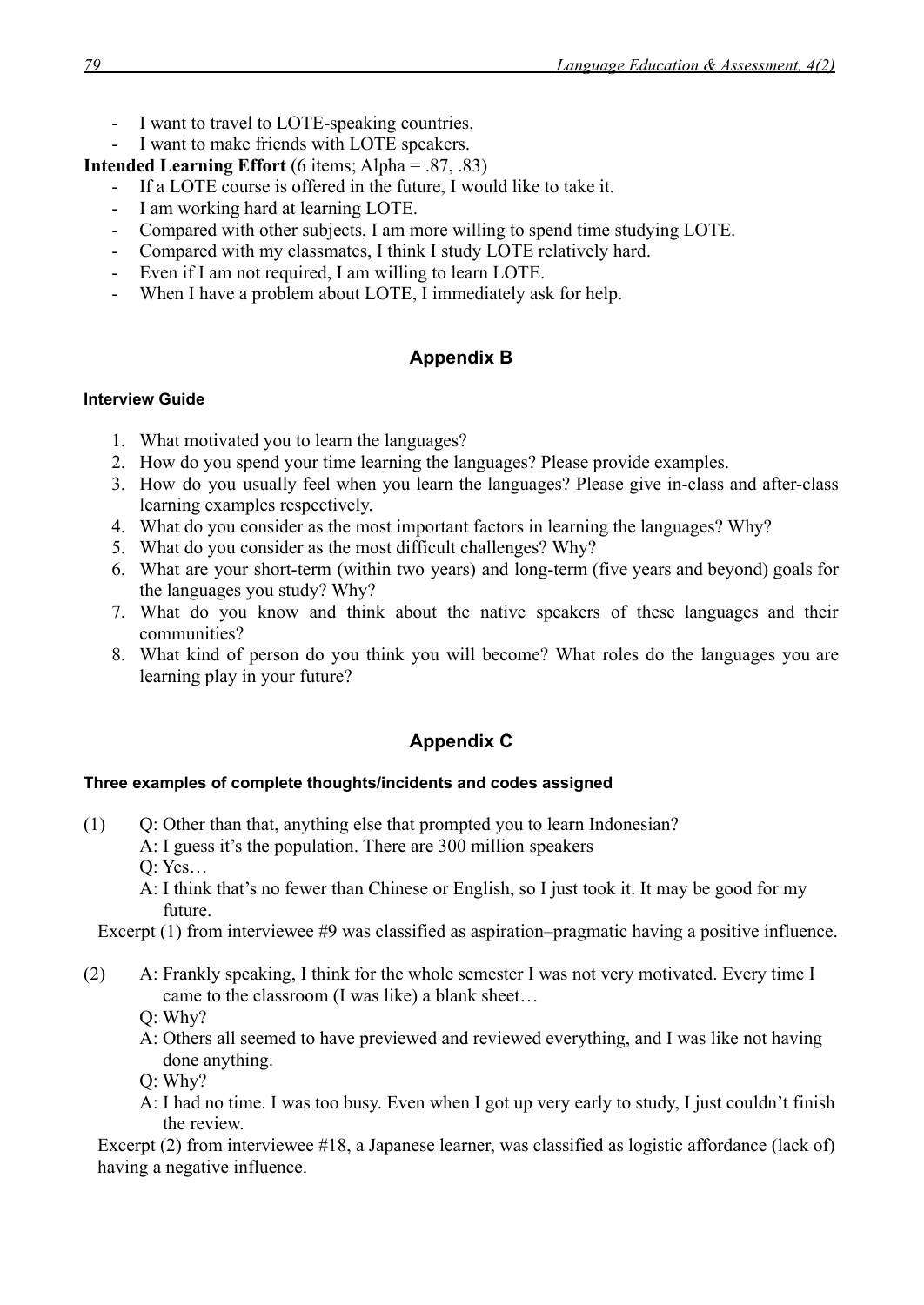- I want to travel to LOTE-speaking countries.
- I want to make friends with LOTE speakers.

**Intended Learning Effort** (6 items; Alpha = .87, .83)

- If a LOTE course is offered in the future, I would like to take it.
- I am working hard at learning LOTE.
- Compared with other subjects, I am more willing to spend time studying LOTE.
- Compared with my classmates, I think I study LOTE relatively hard.
- Even if I am not required, I am willing to learn LOTE.
- When I have a problem about LOTE, I immediately ask for help.

## **Appendix B**

#### **Interview Guide**

- 1. What motivated you to learn the languages?
- 2. How do you spend your time learning the languages? Please provide examples.
- 3. How do you usually feel when you learn the languages? Please give in-class and after-class learning examples respectively.
- 4. What do you consider as the most important factors in learning the languages? Why?
- 5. What do you consider as the most difficult challenges? Why?
- 6. What are your short-term (within two years) and long-term (five years and beyond) goals for the languages you study? Why?
- 7. What do you know and think about the native speakers of these languages and their communities?
- 8. What kind of person do you think you will become? What roles do the languages you are learning play in your future?

## **Appendix C**

## **Three examples of complete thoughts/incidents and codes assigned**

- (1) Q: Other than that, anything else that prompted you to learn Indonesian?
	- A: I guess it's the population. There are 300 million speakers
	- Q: Yes…
	- A: I think that's no fewer than Chinese or English, so I just took it. It may be good for my future.

Excerpt (1) from interviewee #9 was classified as aspiration–pragmatic having a positive influence.

- (2) A: Frankly speaking, I think for the whole semester I was not very motivated. Every time I came to the classroom (I was like) a blank sheet…
	- Q: Why?
	- A: Others all seemed to have previewed and reviewed everything, and I was like not having done anything.
	- Q: Why?
	- A: I had no time. I was too busy. Even when I got up very early to study, I just couldn't finish the review.

Excerpt (2) from interviewee #18, a Japanese learner, was classified as logistic affordance (lack of) having a negative influence.